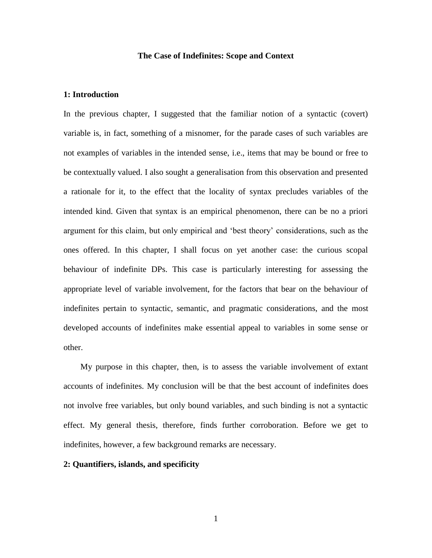### **The Case of Indefinites: Scope and Context**

# **1: Introduction**

In the previous chapter, I suggested that the familiar notion of a syntactic (covert) variable is, in fact, something of a misnomer, for the parade cases of such variables are not examples of variables in the intended sense, i.e., items that may be bound or free to be contextually valued. I also sought a generalisation from this observation and presented a rationale for it, to the effect that the locality of syntax precludes variables of the intended kind. Given that syntax is an empirical phenomenon, there can be no a priori argument for this claim, but only empirical and 'best theory' considerations, such as the ones offered. In this chapter, I shall focus on yet another case: the curious scopal behaviour of indefinite DPs. This case is particularly interesting for assessing the appropriate level of variable involvement, for the factors that bear on the behaviour of indefinites pertain to syntactic, semantic, and pragmatic considerations, and the most developed accounts of indefinites make essential appeal to variables in some sense or other.

 My purpose in this chapter, then, is to assess the variable involvement of extant accounts of indefinites. My conclusion will be that the best account of indefinites does not involve free variables, but only bound variables, and such binding is not a syntactic effect. My general thesis, therefore, finds further corroboration. Before we get to indefinites, however, a few background remarks are necessary.

### **2: Quantifiers, islands, and specificity**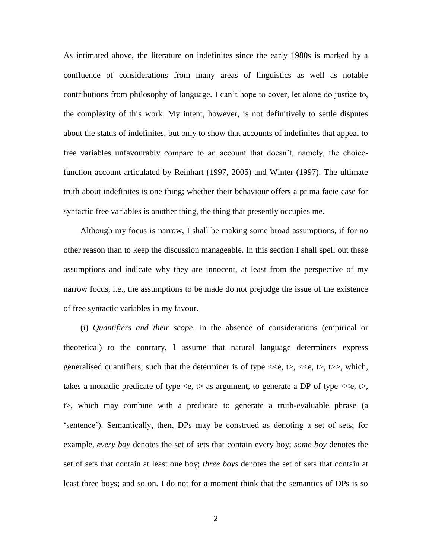As intimated above, the literature on indefinites since the early 1980s is marked by a confluence of considerations from many areas of linguistics as well as notable contributions from philosophy of language. I can't hope to cover, let alone do justice to, the complexity of this work. My intent, however, is not definitively to settle disputes about the status of indefinites, but only to show that accounts of indefinites that appeal to free variables unfavourably compare to an account that doesn't, namely, the choicefunction account articulated by Reinhart (1997, 2005) and Winter (1997). The ultimate truth about indefinites is one thing; whether their behaviour offers a prima facie case for syntactic free variables is another thing, the thing that presently occupies me.

 Although my focus is narrow, I shall be making some broad assumptions, if for no other reason than to keep the discussion manageable. In this section I shall spell out these assumptions and indicate why they are innocent, at least from the perspective of my narrow focus, i.e., the assumptions to be made do not prejudge the issue of the existence of free syntactic variables in my favour.

 (i) *Quantifiers and their scope*. In the absence of considerations (empirical or theoretical) to the contrary, I assume that natural language determiners express generalised quantifiers, such that the determiner is of type  $\langle \langle e, t \rangle, \langle \langle e, t \rangle, t \rangle)$ , which, takes a monadic predicate of type  $\langle e, t \rangle$  as argument, to generate a DP of type  $\langle \langle e, t \rangle$ , t>, which may combine with a predicate to generate a truth-evaluable phrase (a 'sentence'). Semantically, then, DPs may be construed as denoting a set of sets; for example, *every boy* denotes the set of sets that contain every boy; *some boy* denotes the set of sets that contain at least one boy; *three boys* denotes the set of sets that contain at least three boys; and so on. I do not for a moment think that the semantics of DPs is so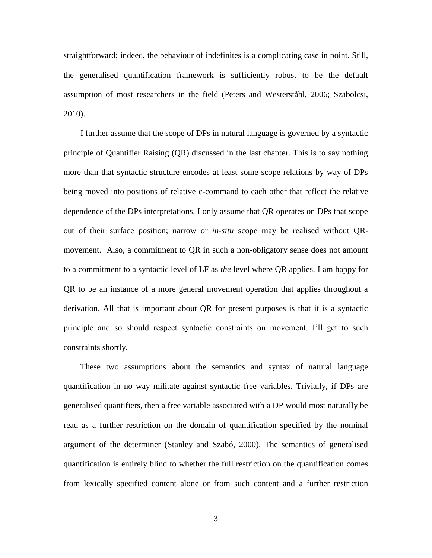straightforward; indeed, the behaviour of indefinites is a complicating case in point. Still, the generalised quantification framework is sufficiently robust to be the default assumption of most researchers in the field (Peters and Westerståhl, 2006; Szabolcsi, 2010).

 I further assume that the scope of DPs in natural language is governed by a syntactic principle of Quantifier Raising (QR) discussed in the last chapter. This is to say nothing more than that syntactic structure encodes at least some scope relations by way of DPs being moved into positions of relative c-command to each other that reflect the relative dependence of the DPs interpretations. I only assume that QR operates on DPs that scope out of their surface position; narrow or *in-situ* scope may be realised without QRmovement. Also, a commitment to QR in such a non-obligatory sense does not amount to a commitment to a syntactic level of LF as *the* level where QR applies. I am happy for QR to be an instance of a more general movement operation that applies throughout a derivation. All that is important about QR for present purposes is that it is a syntactic principle and so should respect syntactic constraints on movement. I'll get to such constraints shortly.

 These two assumptions about the semantics and syntax of natural language quantification in no way militate against syntactic free variables. Trivially, if DPs are generalised quantifiers, then a free variable associated with a DP would most naturally be read as a further restriction on the domain of quantification specified by the nominal argument of the determiner (Stanley and Szabó, 2000). The semantics of generalised quantification is entirely blind to whether the full restriction on the quantification comes from lexically specified content alone or from such content and a further restriction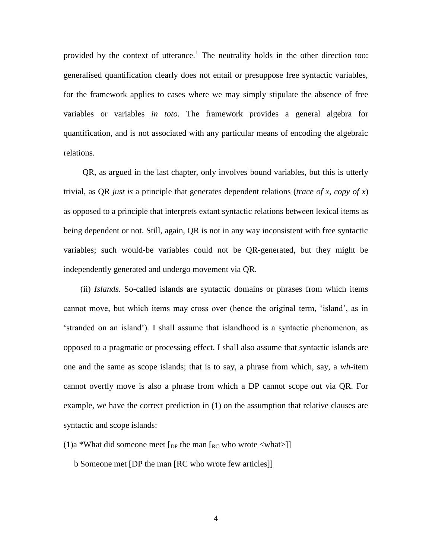provided by the context of utterance.<sup>1</sup> The neutrality holds in the other direction too: generalised quantification clearly does not entail or presuppose free syntactic variables, for the framework applies to cases where we may simply stipulate the absence of free variables or variables *in toto*. The framework provides a general algebra for quantification, and is not associated with any particular means of encoding the algebraic relations.

 QR, as argued in the last chapter, only involves bound variables, but this is utterly trivial, as QR *just is* a principle that generates dependent relations (*trace of x*, *copy of x*) as opposed to a principle that interprets extant syntactic relations between lexical items as being dependent or not. Still, again, QR is not in any way inconsistent with free syntactic variables; such would-be variables could not be QR-generated, but they might be independently generated and undergo movement via QR.

 (ii) *Islands*. So-called islands are syntactic domains or phrases from which items cannot move, but which items may cross over (hence the original term, 'island', as in 'stranded on an island'). I shall assume that islandhood is a syntactic phenomenon, as opposed to a pragmatic or processing effect. I shall also assume that syntactic islands are one and the same as scope islands; that is to say, a phrase from which, say, a *wh*-item cannot overtly move is also a phrase from which a DP cannot scope out via QR. For example, we have the correct prediction in (1) on the assumption that relative clauses are syntactic and scope islands:

(1)a \*What did someone meet  $[p]$  the man  $[\kappa c]$  who wrote  $\langle \text{what}\rangle]$ 

b Someone met [DP the man [RC who wrote few articles]]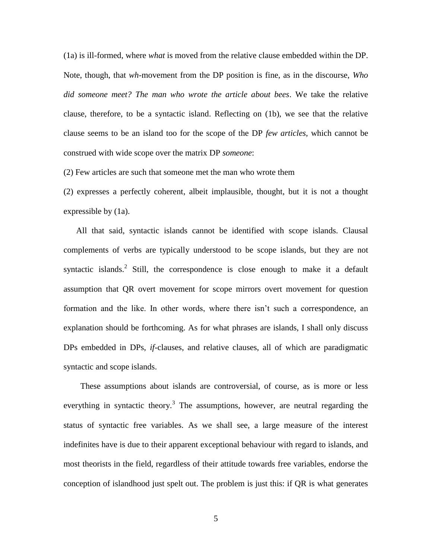(1a) is ill-formed, where *what* is moved from the relative clause embedded within the DP. Note, though, that *wh*-movement from the DP position is fine, as in the discourse, *Who did someone meet? The man who wrote the article about bees*. We take the relative clause, therefore, to be a syntactic island. Reflecting on (1b), we see that the relative clause seems to be an island too for the scope of the DP *few articles*, which cannot be construed with wide scope over the matrix DP *someone*:

(2) Few articles are such that someone met the man who wrote them

(2) expresses a perfectly coherent, albeit implausible, thought, but it is not a thought expressible by (1a).

 All that said, syntactic islands cannot be identified with scope islands. Clausal complements of verbs are typically understood to be scope islands, but they are not syntactic islands.<sup>2</sup> Still, the correspondence is close enough to make it a default assumption that QR overt movement for scope mirrors overt movement for question formation and the like. In other words, where there isn't such a correspondence, an explanation should be forthcoming. As for what phrases are islands, I shall only discuss DPs embedded in DPs, *if*-clauses, and relative clauses, all of which are paradigmatic syntactic and scope islands.

 These assumptions about islands are controversial, of course, as is more or less everything in syntactic theory.<sup>3</sup> The assumptions, however, are neutral regarding the status of syntactic free variables. As we shall see, a large measure of the interest indefinites have is due to their apparent exceptional behaviour with regard to islands, and most theorists in the field, regardless of their attitude towards free variables, endorse the conception of islandhood just spelt out. The problem is just this: if QR is what generates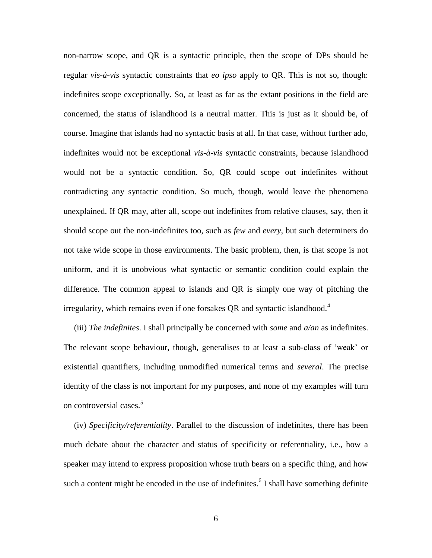non-narrow scope, and QR is a syntactic principle, then the scope of DPs should be regular *vis-à-vis* syntactic constraints that *eo ipso* apply to QR. This is not so, though: indefinites scope exceptionally. So, at least as far as the extant positions in the field are concerned, the status of islandhood is a neutral matter. This is just as it should be, of course. Imagine that islands had no syntactic basis at all. In that case, without further ado, indefinites would not be exceptional *vis-à-vis* syntactic constraints, because islandhood would not be a syntactic condition. So, QR could scope out indefinites without contradicting any syntactic condition. So much, though, would leave the phenomena unexplained. If QR may, after all, scope out indefinites from relative clauses, say, then it should scope out the non-indefinites too, such as *few* and *every*, but such determiners do not take wide scope in those environments. The basic problem, then, is that scope is not uniform, and it is unobvious what syntactic or semantic condition could explain the difference. The common appeal to islands and QR is simply one way of pitching the irregularity, which remains even if one forsakes QR and syntactic islandhood.<sup>4</sup>

 (iii) *The indefinites*. I shall principally be concerned with *some* and *a/an* as indefinites. The relevant scope behaviour, though, generalises to at least a sub-class of 'weak' or existential quantifiers, including unmodified numerical terms and *several*. The precise identity of the class is not important for my purposes, and none of my examples will turn on controversial cases.<sup>5</sup>

 (iv) *Specificity/referentiality*. Parallel to the discussion of indefinites, there has been much debate about the character and status of specificity or referentiality, i.e., how a speaker may intend to express proposition whose truth bears on a specific thing, and how such a content might be encoded in the use of indefinites. $6$  I shall have something definite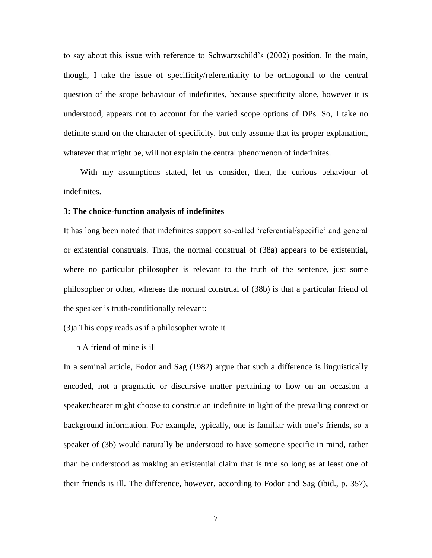to say about this issue with reference to Schwarzschild's (2002) position. In the main, though, I take the issue of specificity/referentiality to be orthogonal to the central question of the scope behaviour of indefinites, because specificity alone, however it is understood, appears not to account for the varied scope options of DPs. So, I take no definite stand on the character of specificity, but only assume that its proper explanation, whatever that might be, will not explain the central phenomenon of indefinites.

 With my assumptions stated, let us consider, then, the curious behaviour of indefinites.

### **3: The choice-function analysis of indefinites**

It has long been noted that indefinites support so-called 'referential/specific' and general or existential construals. Thus, the normal construal of (38a) appears to be existential, where no particular philosopher is relevant to the truth of the sentence, just some philosopher or other, whereas the normal construal of (38b) is that a particular friend of the speaker is truth-conditionally relevant:

(3)a This copy reads as if a philosopher wrote it

b A friend of mine is ill

In a seminal article, Fodor and Sag (1982) argue that such a difference is linguistically encoded, not a pragmatic or discursive matter pertaining to how on an occasion a speaker/hearer might choose to construe an indefinite in light of the prevailing context or background information. For example, typically, one is familiar with one's friends, so a speaker of (3b) would naturally be understood to have someone specific in mind, rather than be understood as making an existential claim that is true so long as at least one of their friends is ill. The difference, however, according to Fodor and Sag (ibid., p. 357),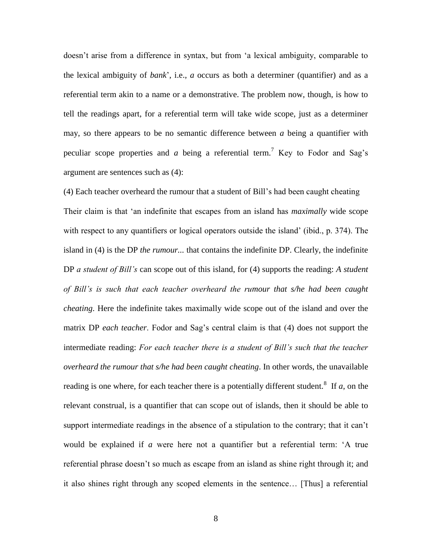doesn't arise from a difference in syntax, but from 'a lexical ambiguity, comparable to the lexical ambiguity of *bank*', i.e., *a* occurs as both a determiner (quantifier) and as a referential term akin to a name or a demonstrative. The problem now, though, is how to tell the readings apart, for a referential term will take wide scope, just as a determiner may, so there appears to be no semantic difference between *a* being a quantifier with peculiar scope properties and *a* being a referential term.<sup>7</sup> Key to Fodor and Sag's argument are sentences such as (4):

(4) Each teacher overheard the rumour that a student of Bill's had been caught cheating Their claim is that 'an indefinite that escapes from an island has *maximally* wide scope with respect to any quantifiers or logical operators outside the island' (ibid., p. 374). The island in (4) is the DP *the rumour...* that contains the indefinite DP. Clearly, the indefinite DP *a student of Bill's* can scope out of this island, for (4) supports the reading: *A student of Bill's is such that each teacher overheard the rumour that s/he had been caught cheating*. Here the indefinite takes maximally wide scope out of the island and over the matrix DP *each teacher*. Fodor and Sag's central claim is that (4) does not support the intermediate reading: *For each teacher there is a student of Bill's such that the teacher overheard the rumour that s/he had been caught cheating*. In other words, the unavailable reading is one where, for each teacher there is a potentially different student.<sup>8</sup> If  $a$ , on the relevant construal, is a quantifier that can scope out of islands, then it should be able to support intermediate readings in the absence of a stipulation to the contrary; that it can't would be explained if *a* were here not a quantifier but a referential term: 'A true referential phrase doesn't so much as escape from an island as shine right through it; and it also shines right through any scoped elements in the sentence… [Thus] a referential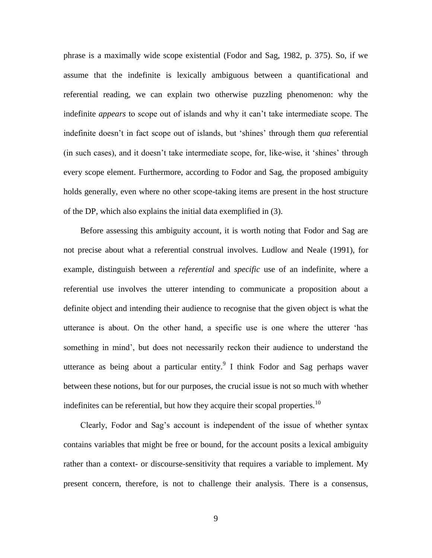phrase is a maximally wide scope existential (Fodor and Sag, 1982, p. 375). So, if we assume that the indefinite is lexically ambiguous between a quantificational and referential reading, we can explain two otherwise puzzling phenomenon: why the indefinite *appears* to scope out of islands and why it can't take intermediate scope. The indefinite doesn't in fact scope out of islands, but 'shines' through them *qua* referential (in such cases), and it doesn't take intermediate scope, for, like-wise, it 'shines' through every scope element. Furthermore, according to Fodor and Sag, the proposed ambiguity holds generally, even where no other scope-taking items are present in the host structure of the DP, which also explains the initial data exemplified in (3).

 Before assessing this ambiguity account, it is worth noting that Fodor and Sag are not precise about what a referential construal involves. Ludlow and Neale (1991), for example, distinguish between a *referential* and *specific* use of an indefinite, where a referential use involves the utterer intending to communicate a proposition about a definite object and intending their audience to recognise that the given object is what the utterance is about. On the other hand, a specific use is one where the utterer 'has something in mind', but does not necessarily reckon their audience to understand the utterance as being about a particular entity. I think Fodor and Sag perhaps waver between these notions, but for our purposes, the crucial issue is not so much with whether indefinites can be referential, but how they acquire their scopal properties.<sup>10</sup>

 Clearly, Fodor and Sag's account is independent of the issue of whether syntax contains variables that might be free or bound, for the account posits a lexical ambiguity rather than a context- or discourse-sensitivity that requires a variable to implement. My present concern, therefore, is not to challenge their analysis. There is a consensus,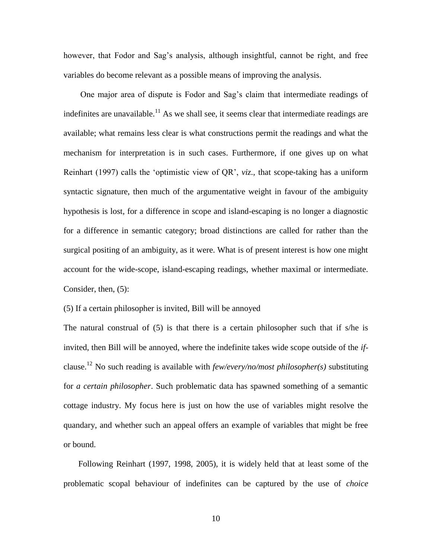however, that Fodor and Sag's analysis, although insightful, cannot be right, and free variables do become relevant as a possible means of improving the analysis.

 One major area of dispute is Fodor and Sag's claim that intermediate readings of indefinites are unavailable.<sup>11</sup> As we shall see, it seems clear that intermediate readings are available; what remains less clear is what constructions permit the readings and what the mechanism for interpretation is in such cases. Furthermore, if one gives up on what Reinhart (1997) calls the 'optimistic view of QR', *viz*., that scope-taking has a uniform syntactic signature, then much of the argumentative weight in favour of the ambiguity hypothesis is lost, for a difference in scope and island-escaping is no longer a diagnostic for a difference in semantic category; broad distinctions are called for rather than the surgical positing of an ambiguity, as it were. What is of present interest is how one might account for the wide-scope, island-escaping readings, whether maximal or intermediate. Consider, then, (5):

(5) If a certain philosopher is invited, Bill will be annoyed

The natural construal of  $(5)$  is that there is a certain philosopher such that if s/he is invited, then Bill will be annoyed, where the indefinite takes wide scope outside of the *if*clause.<sup>12</sup> No such reading is available with *few/every/no/most philosopher(s)* substituting for *a certain philosopher*. Such problematic data has spawned something of a semantic cottage industry. My focus here is just on how the use of variables might resolve the quandary, and whether such an appeal offers an example of variables that might be free or bound.

 Following Reinhart (1997, 1998, 2005), it is widely held that at least some of the problematic scopal behaviour of indefinites can be captured by the use of *choice*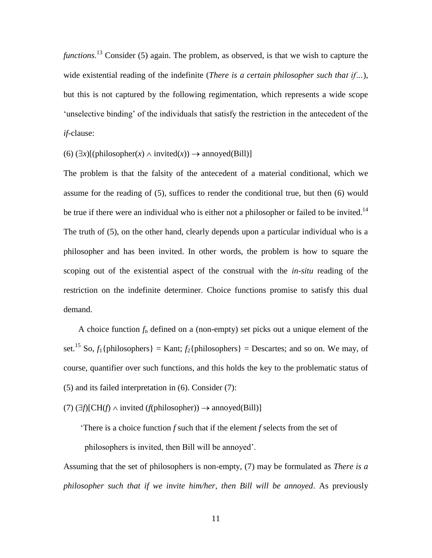*functions*. <sup>13</sup> Consider (5) again. The problem, as observed, is that we wish to capture the wide existential reading of the indefinite (*There is a certain philosopher such that if…*), but this is not captured by the following regimentation, which represents a wide scope 'unselective binding' of the individuals that satisfy the restriction in the antecedent of the *if*-clause:

 $(6)$   $(\exists x)[(\text{philosopher}(x) \land \text{invited}(x)) \rightarrow \text{annoyed}(Bill)]$ 

The problem is that the falsity of the antecedent of a material conditional, which we assume for the reading of (5), suffices to render the conditional true, but then (6) would be true if there were an individual who is either not a philosopher or failed to be invited.<sup>14</sup> The truth of (5), on the other hand, clearly depends upon a particular individual who is a philosopher and has been invited. In other words, the problem is how to square the scoping out of the existential aspect of the construal with the *in-situ* reading of the restriction on the indefinite determiner. Choice functions promise to satisfy this dual demand.

 A choice function *f*<sup>n</sup> defined on a (non-empty) set picks out a unique element of the set.<sup>15</sup> So,  $f_1$ {philosophers} = Kant;  $f_2$ {philosophers} = Descartes; and so on. We may, of course, quantifier over such functions, and this holds the key to the problematic status of (5) and its failed interpretation in (6). Consider (7):

 $(7)$  ( $\exists f$ )[CH( $f$ )  $\land$  invited ( $f$ (philosopher))  $\rightarrow$  annoyed(Bill)]

 'There is a choice function *f* such that if the element *f* selects from the set of philosophers is invited, then Bill will be annoyed'.

Assuming that the set of philosophers is non-empty, (7) may be formulated as *There is a philosopher such that if we invite him/her, then Bill will be annoyed*. As previously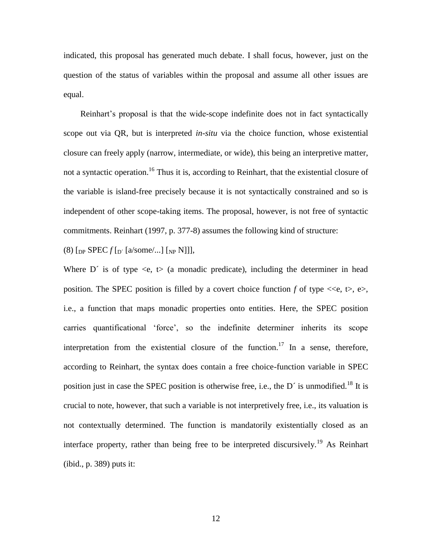indicated, this proposal has generated much debate. I shall focus, however, just on the question of the status of variables within the proposal and assume all other issues are equal.

 Reinhart's proposal is that the wide-scope indefinite does not in fact syntactically scope out via QR, but is interpreted *in-situ* via the choice function, whose existential closure can freely apply (narrow, intermediate, or wide), this being an interpretive matter, not a syntactic operation.<sup>16</sup> Thus it is, according to Reinhart, that the existential closure of the variable is island-free precisely because it is not syntactically constrained and so is independent of other scope-taking items. The proposal, however, is not free of syntactic commitments. Reinhart (1997, p. 377-8) assumes the following kind of structure:

(8)  $\lceil_{DP}$  SPEC  $f\lceil_{D'} \lceil$  a/some/...]  $\lceil_{NP}$  N]]],

Where D<sup> $\prime$ </sup> is of type  $\langle e, t \rangle$  (a monadic predicate), including the determiner in head position. The SPEC position is filled by a covert choice function  $f$  of type  $\ll e$ ,  $\approx$ ,  $e$ , i.e., a function that maps monadic properties onto entities. Here, the SPEC position carries quantificational 'force', so the indefinite determiner inherits its scope interpretation from the existential closure of the function.<sup>17</sup> In a sense, therefore, according to Reinhart, the syntax does contain a free choice-function variable in SPEC position just in case the SPEC position is otherwise free, i.e., the D´ is unmodified.<sup>18</sup> It is crucial to note, however, that such a variable is not interpretively free, i.e., its valuation is not contextually determined. The function is mandatorily existentially closed as an interface property, rather than being free to be interpreted discursively.<sup>19</sup> As Reinhart (ibid., p. 389) puts it: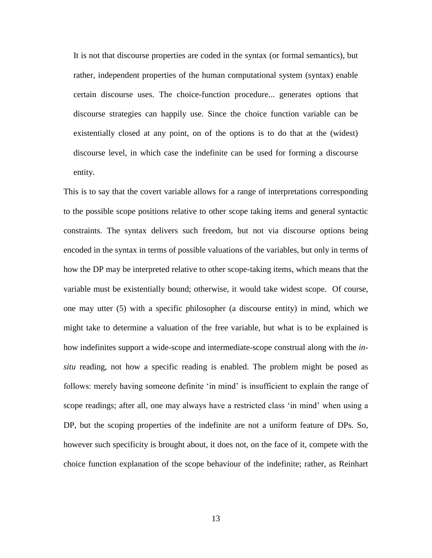It is not that discourse properties are coded in the syntax (or formal semantics), but rather, independent properties of the human computational system (syntax) enable certain discourse uses. The choice-function procedure... generates options that discourse strategies can happily use. Since the choice function variable can be existentially closed at any point, on of the options is to do that at the (widest) discourse level, in which case the indefinite can be used for forming a discourse entity.

This is to say that the covert variable allows for a range of interpretations corresponding to the possible scope positions relative to other scope taking items and general syntactic constraints. The syntax delivers such freedom, but not via discourse options being encoded in the syntax in terms of possible valuations of the variables, but only in terms of how the DP may be interpreted relative to other scope-taking items, which means that the variable must be existentially bound; otherwise, it would take widest scope. Of course, one may utter (5) with a specific philosopher (a discourse entity) in mind, which we might take to determine a valuation of the free variable, but what is to be explained is how indefinites support a wide-scope and intermediate-scope construal along with the *insitu* reading, not how a specific reading is enabled. The problem might be posed as follows: merely having someone definite 'in mind' is insufficient to explain the range of scope readings; after all, one may always have a restricted class 'in mind' when using a DP, but the scoping properties of the indefinite are not a uniform feature of DPs. So, however such specificity is brought about, it does not, on the face of it, compete with the choice function explanation of the scope behaviour of the indefinite; rather, as Reinhart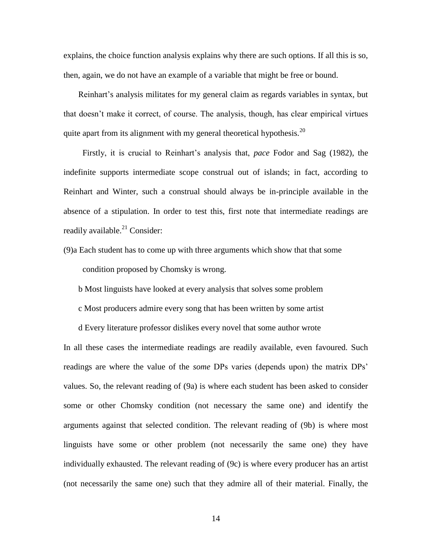explains, the choice function analysis explains why there are such options. If all this is so, then, again, we do not have an example of a variable that might be free or bound.

 Reinhart's analysis militates for my general claim as regards variables in syntax, but that doesn't make it correct, of course. The analysis, though, has clear empirical virtues quite apart from its alignment with my general theoretical hypothesis.<sup>20</sup>

 Firstly, it is crucial to Reinhart's analysis that, *pace* Fodor and Sag (1982), the indefinite supports intermediate scope construal out of islands; in fact, according to Reinhart and Winter, such a construal should always be in-principle available in the absence of a stipulation. In order to test this, first note that intermediate readings are readily available. $^{21}$  Consider:

(9)a Each student has to come up with three arguments which show that that some condition proposed by Chomsky is wrong.

b Most linguists have looked at every analysis that solves some problem

c Most producers admire every song that has been written by some artist

d Every literature professor dislikes every novel that some author wrote

In all these cases the intermediate readings are readily available, even favoured. Such readings are where the value of the *some* DPs varies (depends upon) the matrix DPs' values. So, the relevant reading of (9a) is where each student has been asked to consider some or other Chomsky condition (not necessary the same one) and identify the arguments against that selected condition. The relevant reading of (9b) is where most linguists have some or other problem (not necessarily the same one) they have individually exhausted. The relevant reading of (9c) is where every producer has an artist (not necessarily the same one) such that they admire all of their material. Finally, the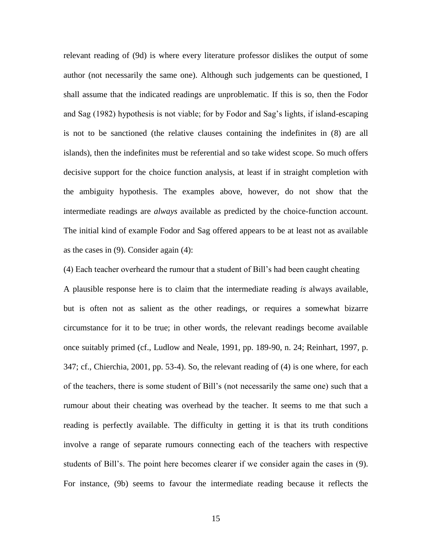relevant reading of (9d) is where every literature professor dislikes the output of some author (not necessarily the same one). Although such judgements can be questioned, I shall assume that the indicated readings are unproblematic. If this is so, then the Fodor and Sag (1982) hypothesis is not viable; for by Fodor and Sag's lights, if island-escaping is not to be sanctioned (the relative clauses containing the indefinites in (8) are all islands), then the indefinites must be referential and so take widest scope. So much offers decisive support for the choice function analysis, at least if in straight completion with the ambiguity hypothesis. The examples above, however, do not show that the intermediate readings are *always* available as predicted by the choice-function account. The initial kind of example Fodor and Sag offered appears to be at least not as available as the cases in (9). Consider again (4):

(4) Each teacher overheard the rumour that a student of Bill's had been caught cheating A plausible response here is to claim that the intermediate reading *is* always available, but is often not as salient as the other readings, or requires a somewhat bizarre circumstance for it to be true; in other words, the relevant readings become available once suitably primed (cf., Ludlow and Neale, 1991, pp. 189-90, n. 24; Reinhart, 1997, p. 347; cf., Chierchia, 2001, pp. 53-4). So, the relevant reading of (4) is one where, for each of the teachers, there is some student of Bill's (not necessarily the same one) such that a rumour about their cheating was overhead by the teacher. It seems to me that such a reading is perfectly available. The difficulty in getting it is that its truth conditions involve a range of separate rumours connecting each of the teachers with respective students of Bill's. The point here becomes clearer if we consider again the cases in (9). For instance, (9b) seems to favour the intermediate reading because it reflects the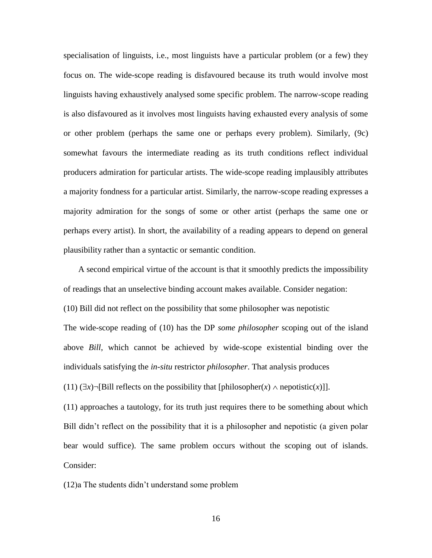specialisation of linguists, i.e., most linguists have a particular problem (or a few) they focus on. The wide-scope reading is disfavoured because its truth would involve most linguists having exhaustively analysed some specific problem. The narrow-scope reading is also disfavoured as it involves most linguists having exhausted every analysis of some or other problem (perhaps the same one or perhaps every problem). Similarly, (9c) somewhat favours the intermediate reading as its truth conditions reflect individual producers admiration for particular artists. The wide-scope reading implausibly attributes a majority fondness for a particular artist. Similarly, the narrow-scope reading expresses a majority admiration for the songs of some or other artist (perhaps the same one or perhaps every artist). In short, the availability of a reading appears to depend on general plausibility rather than a syntactic or semantic condition.

 A second empirical virtue of the account is that it smoothly predicts the impossibility of readings that an unselective binding account makes available. Consider negation: (10) Bill did not reflect on the possibility that some philosopher was nepotistic The wide-scope reading of (10) has the DP *some philosopher* scoping out of the island above *Bill*, which cannot be achieved by wide-scope existential binding over the individuals satisfying the *in-situ* restrictor *philosopher*. That analysis produces

(11)  $(\exists x) \neg$ [Bill reflects on the possibility that [philosopher(*x*)  $\land$  nepotistic(*x*)]].

(11) approaches a tautology, for its truth just requires there to be something about which Bill didn't reflect on the possibility that it is a philosopher and nepotistic (a given polar bear would suffice). The same problem occurs without the scoping out of islands. Consider:

(12)a The students didn't understand some problem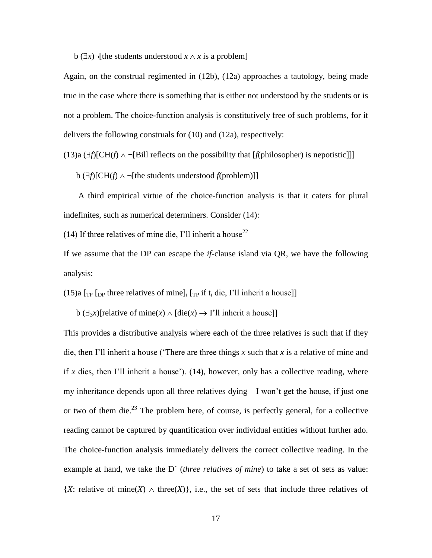b  $(\exists x)$  [the students understood  $x \wedge x$  is a problem]

Again, on the construal regimented in (12b), (12a) approaches a tautology, being made true in the case where there is something that is either not understood by the students or is not a problem. The choice-function analysis is constitutively free of such problems, for it delivers the following construals for (10) and (12a), respectively:

(13)a  $(\exists f)[CH(f) \land \neg[Bill \text{ reflects on the possibility that } [f(philosopher) \text{ is nepotistic}]]]$ 

b  $(\exists f)[CH(f) \land \neg$ [the students understood *f*(problem)]]

 A third empirical virtue of the choice-function analysis is that it caters for plural indefinites, such as numerical determiners. Consider (14):

(14) If three relatives of mine die, I'll inherit a house<sup>22</sup>

If we assume that the DP can escape the *if*-clause island via QR, we have the following analysis:

(15)a  $\lceil_{TP} \rceil_{DP}$  three relatives of mine]<sub>i</sub>  $\lceil_{TP}$  if t<sub>i</sub> die, I'll inherit a house]]

b  $(\exists_3 x)$ [relative of mine(*x*)  $\land$  [die(*x*)  $\rightarrow$  I'll inherit a house]]

This provides a distributive analysis where each of the three relatives is such that if they die, then I'll inherit a house ('There are three things *x* such that *x* is a relative of mine and if  $x$  dies, then I'll inherit a house'). (14), however, only has a collective reading, where my inheritance depends upon all three relatives dying—I won't get the house, if just one or two of them die.<sup>23</sup> The problem here, of course, is perfectly general, for a collective reading cannot be captured by quantification over individual entities without further ado. The choice-function analysis immediately delivers the correct collective reading. In the example at hand, we take the D' (*three relatives of mine*) to take a set of sets as value:  ${X:}$  relative of mine $(X) \wedge$  three $(X)$ , i.e., the set of sets that include three relatives of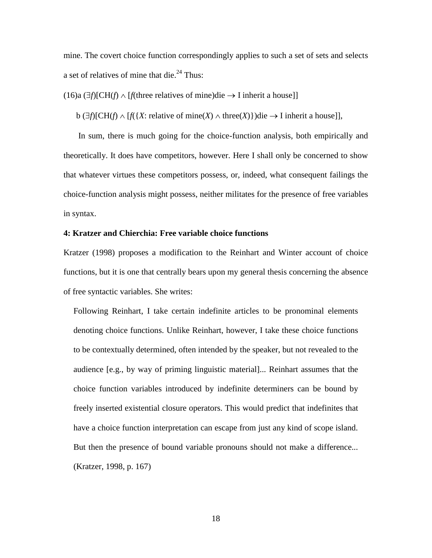mine. The covert choice function correspondingly applies to such a set of sets and selects a set of relatives of mine that die.<sup>24</sup> Thus:

 $(16)a$   $(\exists f)[CH(f) \wedge [f]$  three relatives of mine)die  $\rightarrow$  I inherit a house]]

 $b \left( \exists f \middle| \text{CH}(f) \land \text{[}f \left( \{X : \text{relative of mine}(X) \land \text{three}(X) \} \right) \right)$ die  $\rightarrow$  I inherit a house]],

 In sum, there is much going for the choice-function analysis, both empirically and theoretically. It does have competitors, however. Here I shall only be concerned to show that whatever virtues these competitors possess, or, indeed, what consequent failings the choice-function analysis might possess, neither militates for the presence of free variables in syntax.

## **4: Kratzer and Chierchia: Free variable choice functions**

Kratzer (1998) proposes a modification to the Reinhart and Winter account of choice functions, but it is one that centrally bears upon my general thesis concerning the absence of free syntactic variables. She writes:

Following Reinhart, I take certain indefinite articles to be pronominal elements denoting choice functions. Unlike Reinhart, however, I take these choice functions to be contextually determined, often intended by the speaker, but not revealed to the audience [e.g., by way of priming linguistic material]... Reinhart assumes that the choice function variables introduced by indefinite determiners can be bound by freely inserted existential closure operators. This would predict that indefinites that have a choice function interpretation can escape from just any kind of scope island. But then the presence of bound variable pronouns should not make a difference... (Kratzer, 1998, p. 167)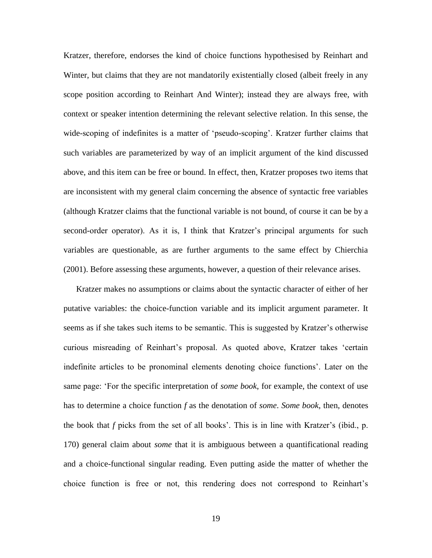Kratzer, therefore, endorses the kind of choice functions hypothesised by Reinhart and Winter, but claims that they are not mandatorily existentially closed (albeit freely in any scope position according to Reinhart And Winter); instead they are always free, with context or speaker intention determining the relevant selective relation. In this sense, the wide-scoping of indefinites is a matter of 'pseudo-scoping'. Kratzer further claims that such variables are parameterized by way of an implicit argument of the kind discussed above, and this item can be free or bound. In effect, then, Kratzer proposes two items that are inconsistent with my general claim concerning the absence of syntactic free variables (although Kratzer claims that the functional variable is not bound, of course it can be by a second-order operator). As it is, I think that Kratzer's principal arguments for such variables are questionable, as are further arguments to the same effect by Chierchia (2001). Before assessing these arguments, however, a question of their relevance arises.

 Kratzer makes no assumptions or claims about the syntactic character of either of her putative variables: the choice-function variable and its implicit argument parameter. It seems as if she takes such items to be semantic. This is suggested by Kratzer's otherwise curious misreading of Reinhart's proposal. As quoted above, Kratzer takes 'certain indefinite articles to be pronominal elements denoting choice functions'. Later on the same page: 'For the specific interpretation of *some book*, for example, the context of use has to determine a choice function *f* as the denotation of *some*. *Some book*, then, denotes the book that *f* picks from the set of all books'. This is in line with Kratzer's (ibid., p. 170) general claim about *some* that it is ambiguous between a quantificational reading and a choice-functional singular reading. Even putting aside the matter of whether the choice function is free or not, this rendering does not correspond to Reinhart's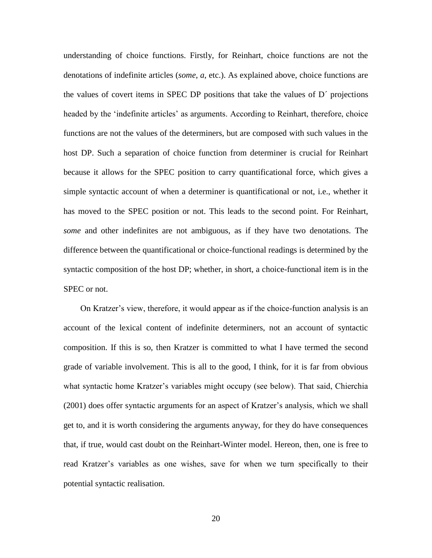understanding of choice functions. Firstly, for Reinhart, choice functions are not the denotations of indefinite articles (*some*, *a*, etc.). As explained above, choice functions are the values of covert items in SPEC DP positions that take the values of  $D<sup>2</sup>$  projections headed by the 'indefinite articles' as arguments. According to Reinhart, therefore, choice functions are not the values of the determiners, but are composed with such values in the host DP. Such a separation of choice function from determiner is crucial for Reinhart because it allows for the SPEC position to carry quantificational force, which gives a simple syntactic account of when a determiner is quantificational or not, i.e., whether it has moved to the SPEC position or not. This leads to the second point. For Reinhart, *some* and other indefinites are not ambiguous, as if they have two denotations. The difference between the quantificational or choice-functional readings is determined by the syntactic composition of the host DP; whether, in short, a choice-functional item is in the SPEC or not.

 On Kratzer's view, therefore, it would appear as if the choice-function analysis is an account of the lexical content of indefinite determiners, not an account of syntactic composition. If this is so, then Kratzer is committed to what I have termed the second grade of variable involvement. This is all to the good, I think, for it is far from obvious what syntactic home Kratzer's variables might occupy (see below). That said, Chierchia (2001) does offer syntactic arguments for an aspect of Kratzer's analysis, which we shall get to, and it is worth considering the arguments anyway, for they do have consequences that, if true, would cast doubt on the Reinhart-Winter model. Hereon, then, one is free to read Kratzer's variables as one wishes, save for when we turn specifically to their potential syntactic realisation.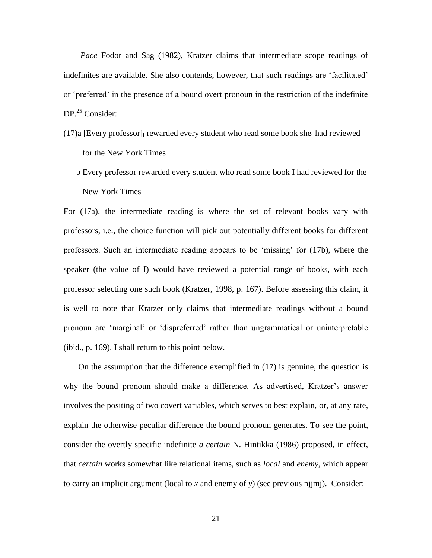*Pace* Fodor and Sag (1982), Kratzer claims that intermediate scope readings of indefinites are available. She also contends, however, that such readings are 'facilitated' or 'preferred' in the presence of a bound overt pronoun in the restriction of the indefinite  $DP<sup>25</sup>$  Consider:

- $(17)$ a [Every professor]<sub>i</sub> rewarded every student who read some book she<sub>i</sub> had reviewed for the New York Times
	- b Every professor rewarded every student who read some book I had reviewed for the New York Times

For (17a), the intermediate reading is where the set of relevant books vary with professors, i.e., the choice function will pick out potentially different books for different professors. Such an intermediate reading appears to be 'missing' for (17b), where the speaker (the value of I) would have reviewed a potential range of books, with each professor selecting one such book (Kratzer, 1998, p. 167). Before assessing this claim, it is well to note that Kratzer only claims that intermediate readings without a bound pronoun are 'marginal' or 'dispreferred' rather than ungrammatical or uninterpretable (ibid., p. 169). I shall return to this point below.

 On the assumption that the difference exemplified in (17) is genuine, the question is why the bound pronoun should make a difference. As advertised, Kratzer's answer involves the positing of two covert variables, which serves to best explain, or, at any rate, explain the otherwise peculiar difference the bound pronoun generates. To see the point, consider the overtly specific indefinite *a certain* N. Hintikka (1986) proposed, in effect, that *certain* works somewhat like relational items, such as *local* and *enemy*, which appear to carry an implicit argument (local to *x* and enemy of *y*) (see previous njjmj). Consider: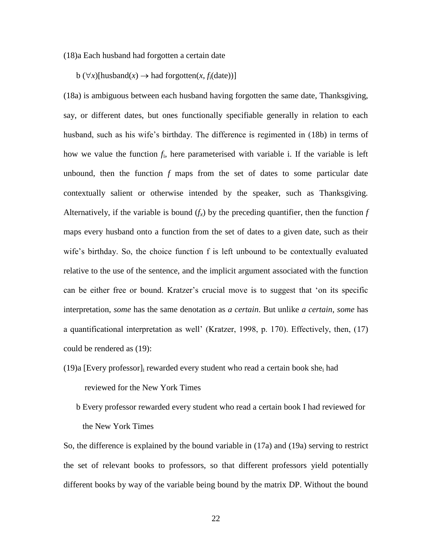#### (18)a Each husband had forgotten a certain date

 $b \left(\forall x\right)$ [husband $\left(x\right) \rightarrow$  had forgotten $\left(x, f_i(\text{date})\right)$ ]

(18a) is ambiguous between each husband having forgotten the same date, Thanksgiving, say, or different dates, but ones functionally specifiable generally in relation to each husband, such as his wife's birthday. The difference is regimented in (18b) in terms of how we value the function *f*<sup>i</sup> , here parameterised with variable i. If the variable is left unbound, then the function *f* maps from the set of dates to some particular date contextually salient or otherwise intended by the speaker, such as Thanksgiving. Alternatively, if the variable is bound  $(f_x)$  by the preceding quantifier, then the function  $f$ maps every husband onto a function from the set of dates to a given date, such as their wife's birthday. So, the choice function f is left unbound to be contextually evaluated relative to the use of the sentence, and the implicit argument associated with the function can be either free or bound. Kratzer's crucial move is to suggest that 'on its specific interpretation, *some* has the same denotation as *a certain*. But unlike *a certain*, *some* has a quantificational interpretation as well' (Kratzer, 1998, p. 170). Effectively, then, (17) could be rendered as (19):

- (19)a [Every professor] $_{i}$  rewarded every student who read a certain book she<sub>i</sub> had reviewed for the New York Times
	- b Every professor rewarded every student who read a certain book I had reviewed for the New York Times

So, the difference is explained by the bound variable in (17a) and (19a) serving to restrict the set of relevant books to professors, so that different professors yield potentially different books by way of the variable being bound by the matrix DP. Without the bound

22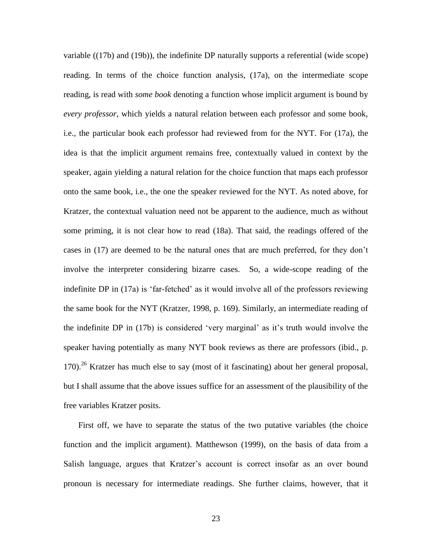variable ((17b) and (19b)), the indefinite DP naturally supports a referential (wide scope) reading. In terms of the choice function analysis, (17a), on the intermediate scope reading, is read with *some book* denoting a function whose implicit argument is bound by *every professor*, which yields a natural relation between each professor and some book, i.e., the particular book each professor had reviewed from for the NYT. For (17a), the idea is that the implicit argument remains free, contextually valued in context by the speaker, again yielding a natural relation for the choice function that maps each professor onto the same book, i.e., the one the speaker reviewed for the NYT. As noted above, for Kratzer, the contextual valuation need not be apparent to the audience, much as without some priming, it is not clear how to read (18a). That said, the readings offered of the cases in (17) are deemed to be the natural ones that are much preferred, for they don't involve the interpreter considering bizarre cases. So, a wide-scope reading of the indefinite DP in (17a) is 'far-fetched' as it would involve all of the professors reviewing the same book for the NYT (Kratzer, 1998, p. 169). Similarly, an intermediate reading of the indefinite DP in (17b) is considered 'very marginal' as it's truth would involve the speaker having potentially as many NYT book reviews as there are professors (ibid., p. 170).<sup>26</sup> Kratzer has much else to say (most of it fascinating) about her general proposal, but I shall assume that the above issues suffice for an assessment of the plausibility of the free variables Kratzer posits.

 First off, we have to separate the status of the two putative variables (the choice function and the implicit argument). Matthewson (1999), on the basis of data from a Salish language, argues that Kratzer's account is correct insofar as an over bound pronoun is necessary for intermediate readings. She further claims, however, that it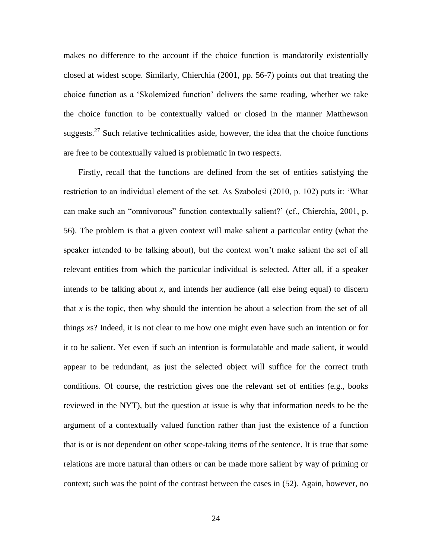makes no difference to the account if the choice function is mandatorily existentially closed at widest scope. Similarly, Chierchia (2001, pp. 56-7) points out that treating the choice function as a 'Skolemized function' delivers the same reading, whether we take the choice function to be contextually valued or closed in the manner Matthewson suggests.<sup>27</sup> Such relative technicalities aside, however, the idea that the choice functions are free to be contextually valued is problematic in two respects.

 Firstly, recall that the functions are defined from the set of entities satisfying the restriction to an individual element of the set. As Szabolcsi (2010, p. 102) puts it: 'What can make such an "omnivorous" function contextually salient?' (cf., Chierchia, 2001, p. 56). The problem is that a given context will make salient a particular entity (what the speaker intended to be talking about), but the context won't make salient the set of all relevant entities from which the particular individual is selected. After all, if a speaker intends to be talking about *x*, and intends her audience (all else being equal) to discern that *x* is the topic, then why should the intention be about a selection from the set of all things *x*s? Indeed, it is not clear to me how one might even have such an intention or for it to be salient. Yet even if such an intention is formulatable and made salient, it would appear to be redundant, as just the selected object will suffice for the correct truth conditions. Of course, the restriction gives one the relevant set of entities (e.g., books reviewed in the NYT), but the question at issue is why that information needs to be the argument of a contextually valued function rather than just the existence of a function that is or is not dependent on other scope-taking items of the sentence. It is true that some relations are more natural than others or can be made more salient by way of priming or context; such was the point of the contrast between the cases in (52). Again, however, no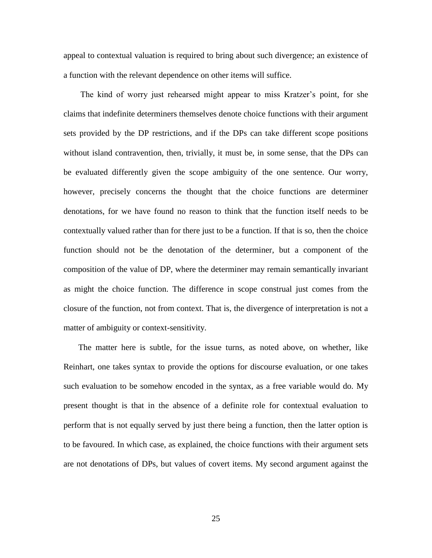appeal to contextual valuation is required to bring about such divergence; an existence of a function with the relevant dependence on other items will suffice.

 The kind of worry just rehearsed might appear to miss Kratzer's point, for she claims that indefinite determiners themselves denote choice functions with their argument sets provided by the DP restrictions, and if the DPs can take different scope positions without island contravention, then, trivially, it must be, in some sense, that the DPs can be evaluated differently given the scope ambiguity of the one sentence. Our worry, however, precisely concerns the thought that the choice functions are determiner denotations, for we have found no reason to think that the function itself needs to be contextually valued rather than for there just to be a function. If that is so, then the choice function should not be the denotation of the determiner, but a component of the composition of the value of DP, where the determiner may remain semantically invariant as might the choice function. The difference in scope construal just comes from the closure of the function, not from context. That is, the divergence of interpretation is not a matter of ambiguity or context-sensitivity.

 The matter here is subtle, for the issue turns, as noted above, on whether, like Reinhart, one takes syntax to provide the options for discourse evaluation, or one takes such evaluation to be somehow encoded in the syntax, as a free variable would do. My present thought is that in the absence of a definite role for contextual evaluation to perform that is not equally served by just there being a function, then the latter option is to be favoured. In which case, as explained, the choice functions with their argument sets are not denotations of DPs, but values of covert items. My second argument against the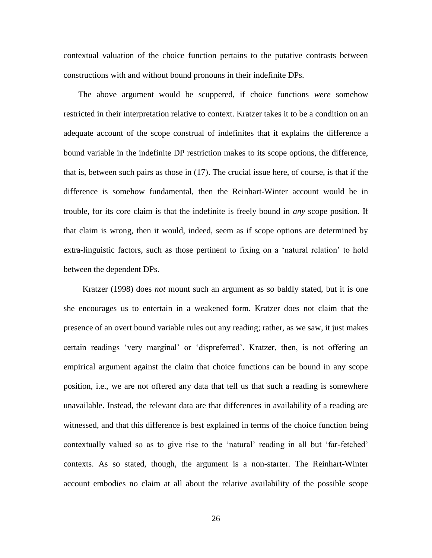contextual valuation of the choice function pertains to the putative contrasts between constructions with and without bound pronouns in their indefinite DPs.

 The above argument would be scuppered, if choice functions *were* somehow restricted in their interpretation relative to context. Kratzer takes it to be a condition on an adequate account of the scope construal of indefinites that it explains the difference a bound variable in the indefinite DP restriction makes to its scope options, the difference, that is, between such pairs as those in (17). The crucial issue here, of course, is that if the difference is somehow fundamental, then the Reinhart-Winter account would be in trouble, for its core claim is that the indefinite is freely bound in *any* scope position. If that claim is wrong, then it would, indeed, seem as if scope options are determined by extra-linguistic factors, such as those pertinent to fixing on a 'natural relation' to hold between the dependent DPs.

 Kratzer (1998) does *not* mount such an argument as so baldly stated, but it is one she encourages us to entertain in a weakened form. Kratzer does not claim that the presence of an overt bound variable rules out any reading; rather, as we saw, it just makes certain readings 'very marginal' or 'dispreferred'. Kratzer, then, is not offering an empirical argument against the claim that choice functions can be bound in any scope position, i.e., we are not offered any data that tell us that such a reading is somewhere unavailable. Instead, the relevant data are that differences in availability of a reading are witnessed, and that this difference is best explained in terms of the choice function being contextually valued so as to give rise to the 'natural' reading in all but 'far-fetched' contexts. As so stated, though, the argument is a non-starter. The Reinhart-Winter account embodies no claim at all about the relative availability of the possible scope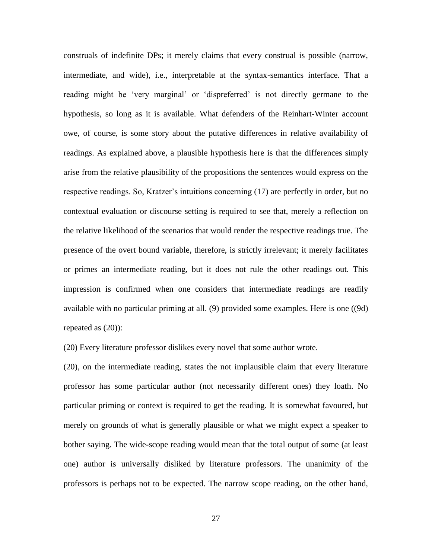construals of indefinite DPs; it merely claims that every construal is possible (narrow, intermediate, and wide), i.e., interpretable at the syntax-semantics interface. That a reading might be 'very marginal' or 'dispreferred' is not directly germane to the hypothesis, so long as it is available. What defenders of the Reinhart-Winter account owe, of course, is some story about the putative differences in relative availability of readings. As explained above, a plausible hypothesis here is that the differences simply arise from the relative plausibility of the propositions the sentences would express on the respective readings. So, Kratzer's intuitions concerning (17) are perfectly in order, but no contextual evaluation or discourse setting is required to see that, merely a reflection on the relative likelihood of the scenarios that would render the respective readings true. The presence of the overt bound variable, therefore, is strictly irrelevant; it merely facilitates or primes an intermediate reading, but it does not rule the other readings out. This impression is confirmed when one considers that intermediate readings are readily available with no particular priming at all. (9) provided some examples. Here is one ((9d) repeated as (20)):

(20) Every literature professor dislikes every novel that some author wrote.

(20), on the intermediate reading, states the not implausible claim that every literature professor has some particular author (not necessarily different ones) they loath. No particular priming or context is required to get the reading. It is somewhat favoured, but merely on grounds of what is generally plausible or what we might expect a speaker to bother saying. The wide-scope reading would mean that the total output of some (at least one) author is universally disliked by literature professors. The unanimity of the professors is perhaps not to be expected. The narrow scope reading, on the other hand,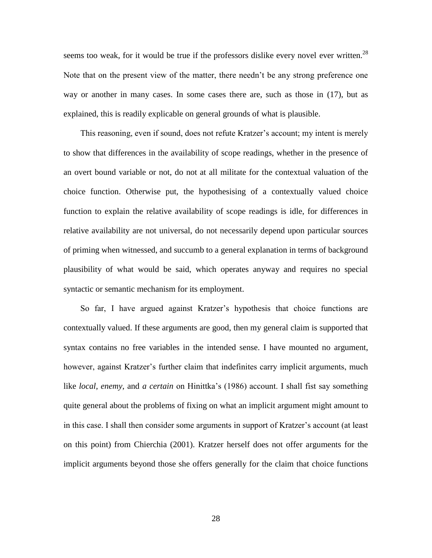seems too weak, for it would be true if the professors dislike every novel ever written.<sup>28</sup> Note that on the present view of the matter, there needn't be any strong preference one way or another in many cases. In some cases there are, such as those in (17), but as explained, this is readily explicable on general grounds of what is plausible.

 This reasoning, even if sound, does not refute Kratzer's account; my intent is merely to show that differences in the availability of scope readings, whether in the presence of an overt bound variable or not, do not at all militate for the contextual valuation of the choice function. Otherwise put, the hypothesising of a contextually valued choice function to explain the relative availability of scope readings is idle, for differences in relative availability are not universal, do not necessarily depend upon particular sources of priming when witnessed, and succumb to a general explanation in terms of background plausibility of what would be said, which operates anyway and requires no special syntactic or semantic mechanism for its employment.

 So far, I have argued against Kratzer's hypothesis that choice functions are contextually valued. If these arguments are good, then my general claim is supported that syntax contains no free variables in the intended sense. I have mounted no argument, however, against Kratzer's further claim that indefinites carry implicit arguments, much like *local*, *enemy*, and *a certain* on Hinittka's (1986) account. I shall fist say something quite general about the problems of fixing on what an implicit argument might amount to in this case. I shall then consider some arguments in support of Kratzer's account (at least on this point) from Chierchia (2001). Kratzer herself does not offer arguments for the implicit arguments beyond those she offers generally for the claim that choice functions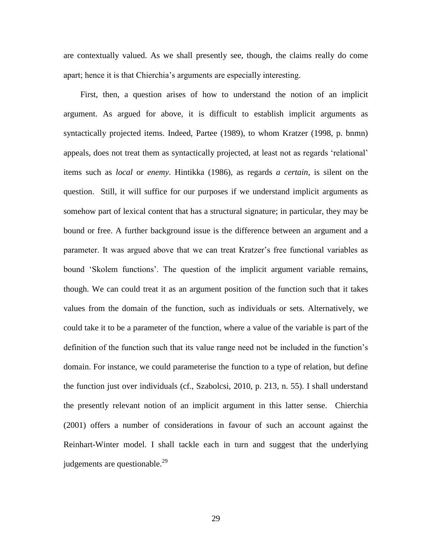are contextually valued. As we shall presently see, though, the claims really do come apart; hence it is that Chierchia's arguments are especially interesting.

 First, then, a question arises of how to understand the notion of an implicit argument. As argued for above, it is difficult to establish implicit arguments as syntactically projected items. Indeed, Partee (1989), to whom Kratzer (1998, p. bnmn) appeals, does not treat them as syntactically projected, at least not as regards 'relational' items such as *local* or *enemy*. Hintikka (1986), as regards *a certain*, is silent on the question. Still, it will suffice for our purposes if we understand implicit arguments as somehow part of lexical content that has a structural signature; in particular, they may be bound or free. A further background issue is the difference between an argument and a parameter. It was argued above that we can treat Kratzer's free functional variables as bound 'Skolem functions'. The question of the implicit argument variable remains, though. We can could treat it as an argument position of the function such that it takes values from the domain of the function, such as individuals or sets. Alternatively, we could take it to be a parameter of the function, where a value of the variable is part of the definition of the function such that its value range need not be included in the function's domain. For instance, we could parameterise the function to a type of relation, but define the function just over individuals (cf., Szabolcsi, 2010, p. 213, n. 55). I shall understand the presently relevant notion of an implicit argument in this latter sense. Chierchia (2001) offers a number of considerations in favour of such an account against the Reinhart-Winter model. I shall tackle each in turn and suggest that the underlying judgements are questionable. $^{29}$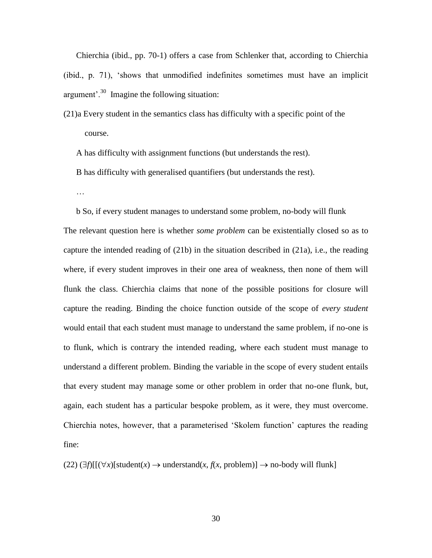Chierchia (ibid., pp. 70-1) offers a case from Schlenker that, according to Chierchia (ibid., p. 71), 'shows that unmodified indefinites sometimes must have an implicit argument'.<sup>30</sup> Imagine the following situation:

(21)a Every student in the semantics class has difficulty with a specific point of the course.

A has difficulty with assignment functions (but understands the rest).

B has difficulty with generalised quantifiers (but understands the rest).

…

 b So, if every student manages to understand some problem, no-body will flunk The relevant question here is whether *some problem* can be existentially closed so as to capture the intended reading of (21b) in the situation described in (21a), i.e., the reading where, if every student improves in their one area of weakness, then none of them will flunk the class. Chierchia claims that none of the possible positions for closure will capture the reading. Binding the choice function outside of the scope of *every student* would entail that each student must manage to understand the same problem, if no-one is to flunk, which is contrary the intended reading, where each student must manage to understand a different problem. Binding the variable in the scope of every student entails that every student may manage some or other problem in order that no-one flunk, but, again, each student has a particular bespoke problem, as it were, they must overcome. Chierchia notes, however, that a parameterised 'Skolem function' captures the reading fine:

 $(22)$   $(\exists f)[[(\forall x)[student(x) \rightarrow understand(x, f(x, problem)] \rightarrow no-body will flush]$ 

30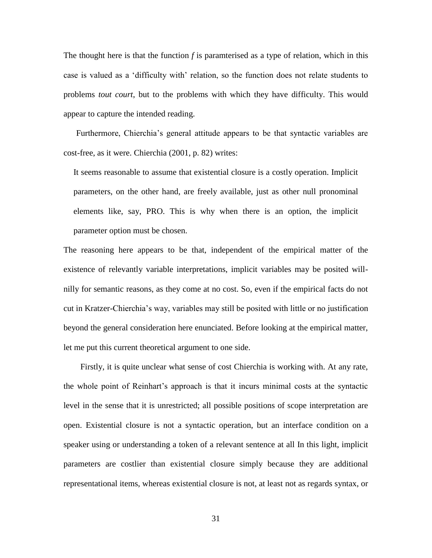The thought here is that the function *f* is paramterised as a type of relation, which in this case is valued as a 'difficulty with' relation, so the function does not relate students to problems *tout court*, but to the problems with which they have difficulty. This would appear to capture the intended reading.

 Furthermore, Chierchia's general attitude appears to be that syntactic variables are cost-free, as it were. Chierchia (2001, p. 82) writes:

It seems reasonable to assume that existential closure is a costly operation. Implicit parameters, on the other hand, are freely available, just as other null pronominal elements like, say, PRO. This is why when there is an option, the implicit parameter option must be chosen.

The reasoning here appears to be that, independent of the empirical matter of the existence of relevantly variable interpretations, implicit variables may be posited willnilly for semantic reasons, as they come at no cost. So, even if the empirical facts do not cut in Kratzer-Chierchia's way, variables may still be posited with little or no justification beyond the general consideration here enunciated. Before looking at the empirical matter, let me put this current theoretical argument to one side.

 Firstly, it is quite unclear what sense of cost Chierchia is working with. At any rate, the whole point of Reinhart's approach is that it incurs minimal costs at the syntactic level in the sense that it is unrestricted; all possible positions of scope interpretation are open. Existential closure is not a syntactic operation, but an interface condition on a speaker using or understanding a token of a relevant sentence at all In this light, implicit parameters are costlier than existential closure simply because they are additional representational items, whereas existential closure is not, at least not as regards syntax, or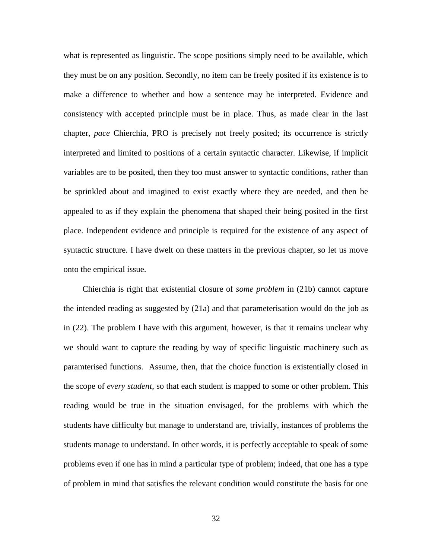what is represented as linguistic. The scope positions simply need to be available, which they must be on any position. Secondly, no item can be freely posited if its existence is to make a difference to whether and how a sentence may be interpreted. Evidence and consistency with accepted principle must be in place. Thus, as made clear in the last chapter, *pace* Chierchia, PRO is precisely not freely posited; its occurrence is strictly interpreted and limited to positions of a certain syntactic character. Likewise, if implicit variables are to be posited, then they too must answer to syntactic conditions, rather than be sprinkled about and imagined to exist exactly where they are needed, and then be appealed to as if they explain the phenomena that shaped their being posited in the first place. Independent evidence and principle is required for the existence of any aspect of syntactic structure. I have dwelt on these matters in the previous chapter, so let us move onto the empirical issue.

 Chierchia is right that existential closure of *some problem* in (21b) cannot capture the intended reading as suggested by (21a) and that parameterisation would do the job as in (22). The problem I have with this argument, however, is that it remains unclear why we should want to capture the reading by way of specific linguistic machinery such as paramterised functions. Assume, then, that the choice function is existentially closed in the scope of *every student*, so that each student is mapped to some or other problem. This reading would be true in the situation envisaged, for the problems with which the students have difficulty but manage to understand are, trivially, instances of problems the students manage to understand. In other words, it is perfectly acceptable to speak of some problems even if one has in mind a particular type of problem; indeed, that one has a type of problem in mind that satisfies the relevant condition would constitute the basis for one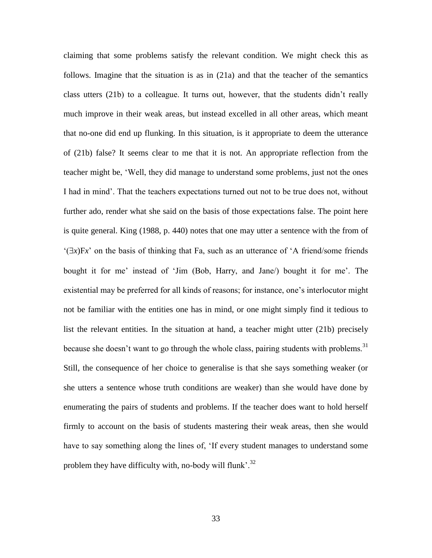claiming that some problems satisfy the relevant condition. We might check this as follows. Imagine that the situation is as in (21a) and that the teacher of the semantics class utters (21b) to a colleague. It turns out, however, that the students didn't really much improve in their weak areas, but instead excelled in all other areas, which meant that no-one did end up flunking. In this situation, is it appropriate to deem the utterance of (21b) false? It seems clear to me that it is not. An appropriate reflection from the teacher might be, 'Well, they did manage to understand some problems, just not the ones I had in mind'. That the teachers expectations turned out not to be true does not, without further ado, render what she said on the basis of those expectations false. The point here is quite general. King (1988, p. 440) notes that one may utter a sentence with the from of  $(\exists x)Fx'$  on the basis of thinking that Fa, such as an utterance of  $'A$  friend/some friends bought it for me' instead of 'Jim (Bob, Harry, and Jane/) bought it for me'. The existential may be preferred for all kinds of reasons; for instance, one's interlocutor might not be familiar with the entities one has in mind, or one might simply find it tedious to list the relevant entities. In the situation at hand, a teacher might utter (21b) precisely because she doesn't want to go through the whole class, pairing students with problems.<sup>31</sup> Still, the consequence of her choice to generalise is that she says something weaker (or she utters a sentence whose truth conditions are weaker) than she would have done by enumerating the pairs of students and problems. If the teacher does want to hold herself firmly to account on the basis of students mastering their weak areas, then she would have to say something along the lines of, 'If every student manages to understand some problem they have difficulty with, no-body will flunk'.<sup>32</sup>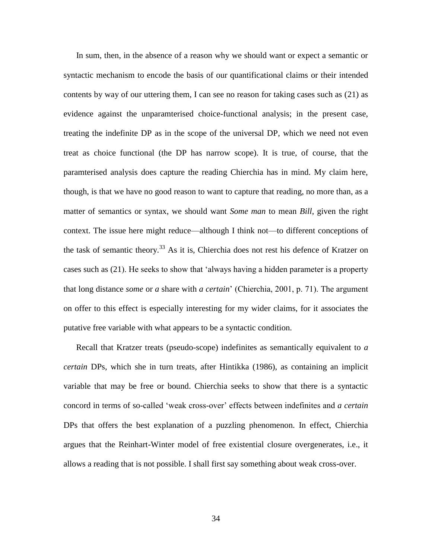In sum, then, in the absence of a reason why we should want or expect a semantic or syntactic mechanism to encode the basis of our quantificational claims or their intended contents by way of our uttering them, I can see no reason for taking cases such as (21) as evidence against the unparamterised choice-functional analysis; in the present case, treating the indefinite DP as in the scope of the universal DP, which we need not even treat as choice functional (the DP has narrow scope). It is true, of course, that the paramterised analysis does capture the reading Chierchia has in mind. My claim here, though, is that we have no good reason to want to capture that reading, no more than, as a matter of semantics or syntax, we should want *Some man* to mean *Bill*, given the right context. The issue here might reduce—although I think not—to different conceptions of the task of semantic theory.<sup>33</sup> As it is, Chierchia does not rest his defence of Kratzer on cases such as (21). He seeks to show that 'always having a hidden parameter is a property that long distance *some* or *a* share with *a certain*' (Chierchia, 2001, p. 71). The argument on offer to this effect is especially interesting for my wider claims, for it associates the putative free variable with what appears to be a syntactic condition.

 Recall that Kratzer treats (pseudo-scope) indefinites as semantically equivalent to *a certain* DPs, which she in turn treats, after Hintikka (1986), as containing an implicit variable that may be free or bound. Chierchia seeks to show that there is a syntactic concord in terms of so-called 'weak cross-over' effects between indefinites and *a certain* DPs that offers the best explanation of a puzzling phenomenon. In effect, Chierchia argues that the Reinhart-Winter model of free existential closure overgenerates, i.e., it allows a reading that is not possible. I shall first say something about weak cross-over.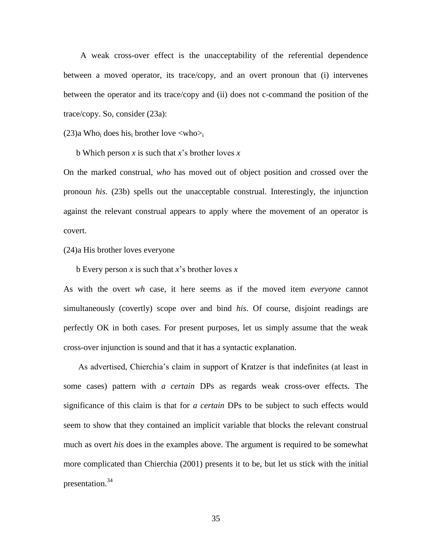A weak cross-over effect is the unacceptability of the referential dependence between a moved operator, its trace/copy, and an overt pronoun that (i) intervenes between the operator and its trace/copy and (ii) does not c-command the position of the trace/copy. So, consider (23a):

 $(23)a$  Who<sub>i</sub> does his<sub>i</sub> brother love  $\langle$ who $\rangle$ <sub>i</sub>

b Which person *x* is such that *x*'s brother loves *x*

On the marked construal, *who* has moved out of object position and crossed over the pronoun *his*. (23b) spells out the unacceptable construal. Interestingly, the injunction against the relevant construal appears to apply where the movement of an operator is covert.

(24)a His brother loves everyone

b Every person *x* is such that *x*'s brother loves *x*

As with the overt *wh* case, it here seems as if the moved item *everyone* cannot simultaneously (covertly) scope over and bind *his*. Of course, disjoint readings are perfectly OK in both cases. For present purposes, let us simply assume that the weak cross-over injunction is sound and that it has a syntactic explanation.

 As advertised, Chierchia's claim in support of Kratzer is that indefinites (at least in some cases) pattern with *a certain* DPs as regards weak cross-over effects. The significance of this claim is that for *a certain* DPs to be subject to such effects would seem to show that they contained an implicit variable that blocks the relevant construal much as overt *his* does in the examples above. The argument is required to be somewhat more complicated than Chierchia (2001) presents it to be, but let us stick with the initial presentation.<sup>34</sup>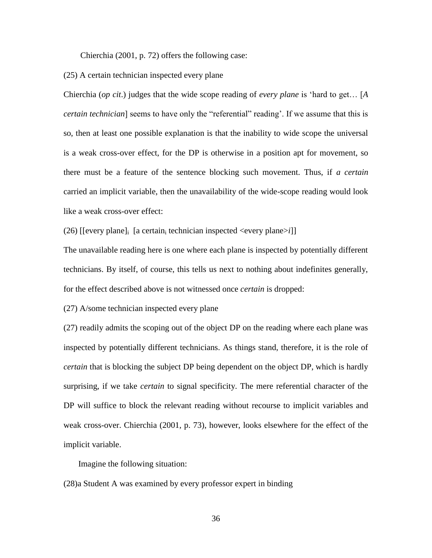Chierchia (2001, p. 72) offers the following case:

(25) A certain technician inspected every plane

Chierchia (*op cit*.) judges that the wide scope reading of *every plane* is 'hard to get… [*A certain technician*] seems to have only the "referential" reading'. If we assume that this is so, then at least one possible explanation is that the inability to wide scope the universal is a weak cross-over effect, for the DP is otherwise in a position apt for movement, so there must be a feature of the sentence blocking such movement. Thus, if *a certain* carried an implicit variable, then the unavailability of the wide-scope reading would look like a weak cross-over effect:

(26) [[every plane]<sub>i</sub> [a certain<sub>i</sub> technician inspected <every plane>*i*]]

The unavailable reading here is one where each plane is inspected by potentially different technicians. By itself, of course, this tells us next to nothing about indefinites generally, for the effect described above is not witnessed once *certain* is dropped:

(27) A/some technician inspected every plane

(27) readily admits the scoping out of the object DP on the reading where each plane was inspected by potentially different technicians. As things stand, therefore, it is the role of *certain* that is blocking the subject DP being dependent on the object DP, which is hardly surprising, if we take *certain* to signal specificity. The mere referential character of the DP will suffice to block the relevant reading without recourse to implicit variables and weak cross-over. Chierchia (2001, p. 73), however, looks elsewhere for the effect of the implicit variable.

Imagine the following situation:

(28)a Student A was examined by every professor expert in binding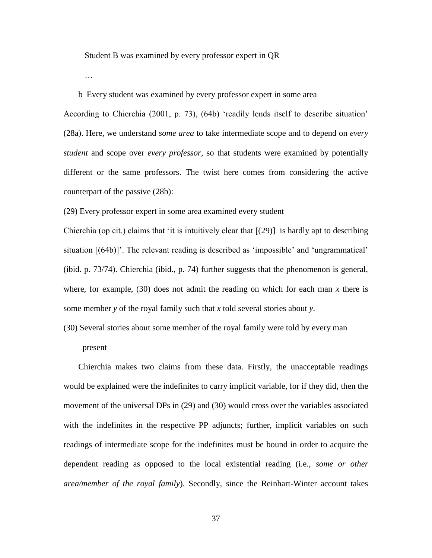Student B was examined by every professor expert in QR

…

b Every student was examined by every professor expert in some area

According to Chierchia (2001, p. 73), (64b) 'readily lends itself to describe situation' (28a). Here, we understand *some area* to take intermediate scope and to depend on *every student* and scope over *every professor*, so that students were examined by potentially different or the same professors. The twist here comes from considering the active counterpart of the passive (28b):

(29) Every professor expert in some area examined every student

Chierchia (op cit.) claims that 'it is intuitively clear that  $[(29)]$  is hardly apt to describing situation [(64b)]'. The relevant reading is described as 'impossible' and 'ungrammatical' (ibid. p. 73/74). Chierchia (ibid., p. 74) further suggests that the phenomenon is general, where, for example,  $(30)$  does not admit the reading on which for each man x there is some member *y* of the royal family such that *x* told several stories about *y*.

(30) Several stories about some member of the royal family were told by every man

present

 Chierchia makes two claims from these data. Firstly, the unacceptable readings would be explained were the indefinites to carry implicit variable, for if they did, then the movement of the universal DPs in (29) and (30) would cross over the variables associated with the indefinites in the respective PP adjuncts; further, implicit variables on such readings of intermediate scope for the indefinites must be bound in order to acquire the dependent reading as opposed to the local existential reading (i.e., *some or other area/member of the royal family*). Secondly, since the Reinhart-Winter account takes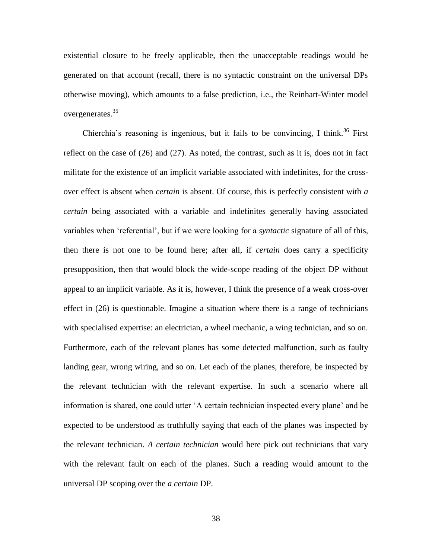existential closure to be freely applicable, then the unacceptable readings would be generated on that account (recall, there is no syntactic constraint on the universal DPs otherwise moving), which amounts to a false prediction, i.e., the Reinhart-Winter model overgenerates.<sup>35</sup>

Chierchia's reasoning is ingenious, but it fails to be convincing, I think.<sup>36</sup> First reflect on the case of (26) and (27). As noted, the contrast, such as it is, does not in fact militate for the existence of an implicit variable associated with indefinites, for the crossover effect is absent when *certain* is absent. Of course, this is perfectly consistent with *a certain* being associated with a variable and indefinites generally having associated variables when 'referential', but if we were looking for a *syntactic* signature of all of this, then there is not one to be found here; after all, if *certain* does carry a specificity presupposition, then that would block the wide-scope reading of the object DP without appeal to an implicit variable. As it is, however, I think the presence of a weak cross-over effect in (26) is questionable. Imagine a situation where there is a range of technicians with specialised expertise: an electrician, a wheel mechanic, a wing technician, and so on. Furthermore, each of the relevant planes has some detected malfunction, such as faulty landing gear, wrong wiring, and so on. Let each of the planes, therefore, be inspected by the relevant technician with the relevant expertise. In such a scenario where all information is shared, one could utter 'A certain technician inspected every plane' and be expected to be understood as truthfully saying that each of the planes was inspected by the relevant technician. *A certain technician* would here pick out technicians that vary with the relevant fault on each of the planes. Such a reading would amount to the universal DP scoping over the *a certain* DP.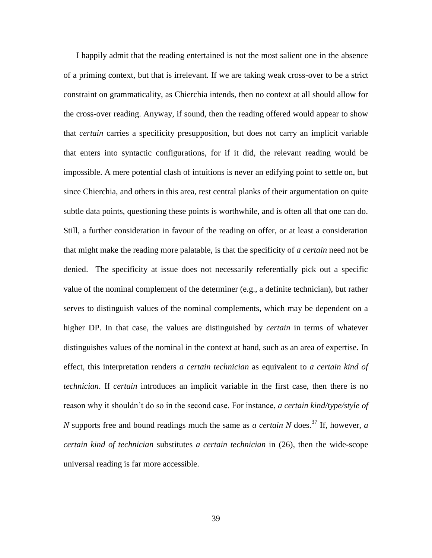I happily admit that the reading entertained is not the most salient one in the absence of a priming context, but that is irrelevant. If we are taking weak cross-over to be a strict constraint on grammaticality, as Chierchia intends, then no context at all should allow for the cross-over reading. Anyway, if sound, then the reading offered would appear to show that *certain* carries a specificity presupposition, but does not carry an implicit variable that enters into syntactic configurations, for if it did, the relevant reading would be impossible. A mere potential clash of intuitions is never an edifying point to settle on, but since Chierchia, and others in this area, rest central planks of their argumentation on quite subtle data points, questioning these points is worthwhile, and is often all that one can do. Still, a further consideration in favour of the reading on offer, or at least a consideration that might make the reading more palatable, is that the specificity of *a certain* need not be denied. The specificity at issue does not necessarily referentially pick out a specific value of the nominal complement of the determiner (e.g., a definite technician), but rather serves to distinguish values of the nominal complements, which may be dependent on a higher DP. In that case, the values are distinguished by *certain* in terms of whatever distinguishes values of the nominal in the context at hand, such as an area of expertise. In effect, this interpretation renders *a certain technician* as equivalent to *a certain kind of technician*. If *certain* introduces an implicit variable in the first case, then there is no reason why it shouldn't do so in the second case. For instance, *a certain kind/type/style of N* supports free and bound readings much the same as *a certain N* does.<sup>37</sup> If, however, *a certain kind of technician* substitutes *a certain technician* in (26), then the wide-scope universal reading is far more accessible.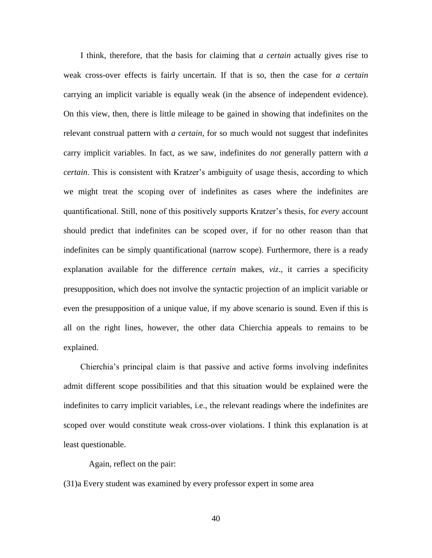I think, therefore, that the basis for claiming that *a certain* actually gives rise to weak cross-over effects is fairly uncertain. If that is so, then the case for *a certain* carrying an implicit variable is equally weak (in the absence of independent evidence). On this view, then, there is little mileage to be gained in showing that indefinites on the relevant construal pattern with *a certain*, for so much would not suggest that indefinites carry implicit variables. In fact, as we saw, indefinites do *not* generally pattern with *a certain*. This is consistent with Kratzer's ambiguity of usage thesis, according to which we might treat the scoping over of indefinites as cases where the indefinites are quantificational. Still, none of this positively supports Kratzer's thesis, for *every* account should predict that indefinites can be scoped over, if for no other reason than that indefinites can be simply quantificational (narrow scope). Furthermore, there is a ready explanation available for the difference *certain* makes, *viz*., it carries a specificity presupposition, which does not involve the syntactic projection of an implicit variable or even the presupposition of a unique value, if my above scenario is sound. Even if this is all on the right lines, however, the other data Chierchia appeals to remains to be explained.

 Chierchia's principal claim is that passive and active forms involving indefinites admit different scope possibilities and that this situation would be explained were the indefinites to carry implicit variables, i.e., the relevant readings where the indefinites are scoped over would constitute weak cross-over violations. I think this explanation is at least questionable.

Again, reflect on the pair:

(31)a Every student was examined by every professor expert in some area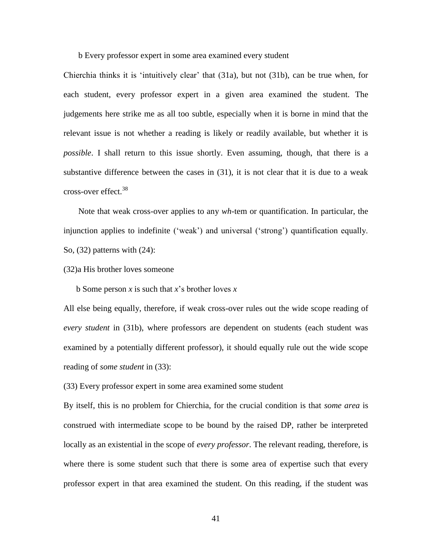b Every professor expert in some area examined every student

Chierchia thinks it is 'intuitively clear' that (31a), but not (31b), can be true when, for each student, every professor expert in a given area examined the student. The judgements here strike me as all too subtle, especially when it is borne in mind that the relevant issue is not whether a reading is likely or readily available, but whether it is *possible*. I shall return to this issue shortly. Even assuming, though, that there is a substantive difference between the cases in (31), it is not clear that it is due to a weak cross-over effect.<sup>38</sup>

 Note that weak cross-over applies to any *wh*-tem or quantification. In particular, the injunction applies to indefinite ('weak') and universal ('strong') quantification equally. So, (32) patterns with (24):

(32)a His brother loves someone

b Some person *x* is such that *x*'s brother loves *x*

All else being equally, therefore, if weak cross-over rules out the wide scope reading of *every student* in (31b), where professors are dependent on students (each student was examined by a potentially different professor), it should equally rule out the wide scope reading of *some student* in (33):

(33) Every professor expert in some area examined some student

By itself, this is no problem for Chierchia, for the crucial condition is that *some area* is construed with intermediate scope to be bound by the raised DP, rather be interpreted locally as an existential in the scope of *every professor*. The relevant reading, therefore, is where there is some student such that there is some area of expertise such that every professor expert in that area examined the student. On this reading, if the student was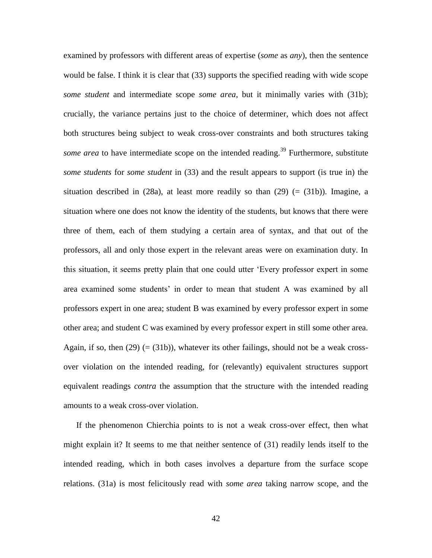examined by professors with different areas of expertise (*some* as *any*), then the sentence would be false. I think it is clear that (33) supports the specified reading with wide scope *some student* and intermediate scope *some area*, but it minimally varies with (31b); crucially, the variance pertains just to the choice of determiner, which does not affect both structures being subject to weak cross-over constraints and both structures taking *some area* to have intermediate scope on the intended reading.<sup>39</sup> Furthermore, substitute *some students* for *some student* in (33) and the result appears to support (is true in) the situation described in  $(28a)$ , at least more readily so than  $(29)$  (=  $(31b)$ ). Imagine, a situation where one does not know the identity of the students, but knows that there were three of them, each of them studying a certain area of syntax, and that out of the professors, all and only those expert in the relevant areas were on examination duty. In this situation, it seems pretty plain that one could utter 'Every professor expert in some area examined some students' in order to mean that student A was examined by all professors expert in one area; student B was examined by every professor expert in some other area; and student C was examined by every professor expert in still some other area. Again, if so, then  $(29)$  (=  $(31b)$ ), whatever its other failings, should not be a weak crossover violation on the intended reading, for (relevantly) equivalent structures support equivalent readings *contra* the assumption that the structure with the intended reading amounts to a weak cross-over violation.

 If the phenomenon Chierchia points to is not a weak cross-over effect, then what might explain it? It seems to me that neither sentence of (31) readily lends itself to the intended reading, which in both cases involves a departure from the surface scope relations. (31a) is most felicitously read with *some area* taking narrow scope, and the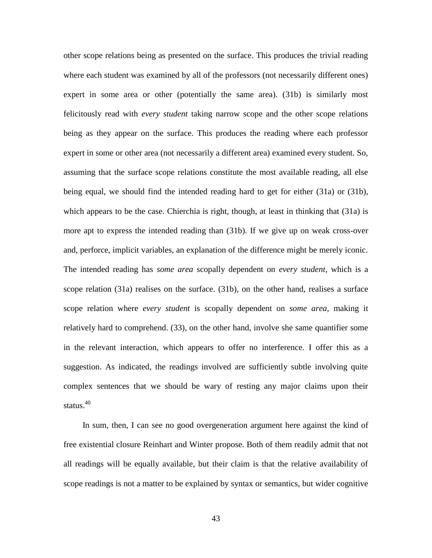other scope relations being as presented on the surface. This produces the trivial reading where each student was examined by all of the professors (not necessarily different ones) expert in some area or other (potentially the same area). (31b) is similarly most felicitously read with *every student* taking narrow scope and the other scope relations being as they appear on the surface. This produces the reading where each professor expert in some or other area (not necessarily a different area) examined every student. So, assuming that the surface scope relations constitute the most available reading, all else being equal, we should find the intended reading hard to get for either (31a) or (31b), which appears to be the case. Chierchia is right, though, at least in thinking that (31a) is more apt to express the intended reading than (31b). If we give up on weak cross-over and, perforce, implicit variables, an explanation of the difference might be merely iconic. The intended reading has *some area* scopally dependent on *every student*, which is a scope relation (31a) realises on the surface. (31b), on the other hand, realises a surface scope relation where *every student* is scopally dependent on *some area*, making it relatively hard to comprehend. (33), on the other hand, involve she same quantifier some in the relevant interaction, which appears to offer no interference. I offer this as a suggestion. As indicated, the readings involved are sufficiently subtle involving quite complex sentences that we should be wary of resting any major claims upon their status.<sup>40</sup>

 In sum, then, I can see no good overgeneration argument here against the kind of free existential closure Reinhart and Winter propose. Both of them readily admit that not all readings will be equally available, but their claim is that the relative availability of scope readings is not a matter to be explained by syntax or semantics, but wider cognitive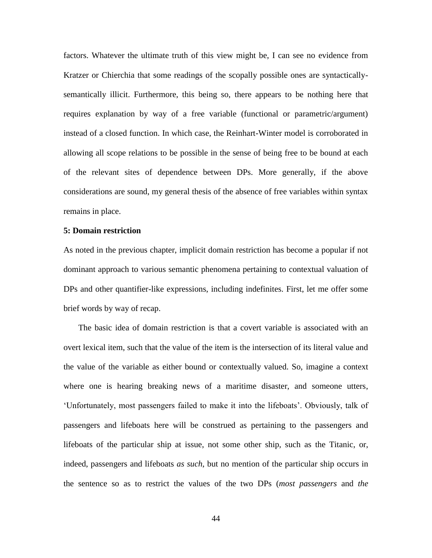factors. Whatever the ultimate truth of this view might be, I can see no evidence from Kratzer or Chierchia that some readings of the scopally possible ones are syntacticallysemantically illicit. Furthermore, this being so, there appears to be nothing here that requires explanation by way of a free variable (functional or parametric/argument) instead of a closed function. In which case, the Reinhart-Winter model is corroborated in allowing all scope relations to be possible in the sense of being free to be bound at each of the relevant sites of dependence between DPs. More generally, if the above considerations are sound, my general thesis of the absence of free variables within syntax remains in place.

## **5: Domain restriction**

As noted in the previous chapter, implicit domain restriction has become a popular if not dominant approach to various semantic phenomena pertaining to contextual valuation of DPs and other quantifier-like expressions, including indefinites. First, let me offer some brief words by way of recap.

 The basic idea of domain restriction is that a covert variable is associated with an overt lexical item, such that the value of the item is the intersection of its literal value and the value of the variable as either bound or contextually valued. So, imagine a context where one is hearing breaking news of a maritime disaster, and someone utters, 'Unfortunately, most passengers failed to make it into the lifeboats'. Obviously, talk of passengers and lifeboats here will be construed as pertaining to the passengers and lifeboats of the particular ship at issue, not some other ship, such as the Titanic, or, indeed, passengers and lifeboats *as such*, but no mention of the particular ship occurs in the sentence so as to restrict the values of the two DPs (*most passengers* and *the*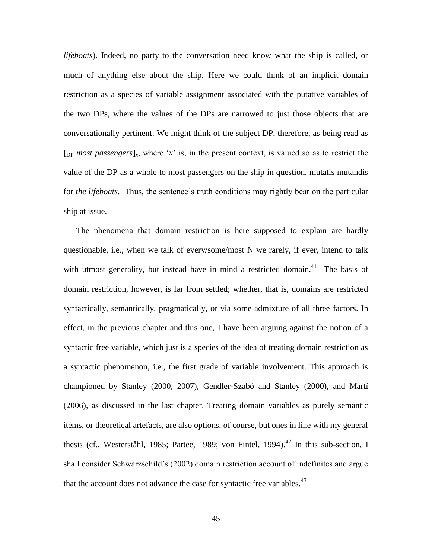*lifeboats*). Indeed, no party to the conversation need know what the ship is called, or much of anything else about the ship. Here we could think of an implicit domain restriction as a species of variable assignment associated with the putative variables of the two DPs, where the values of the DPs are narrowed to just those objects that are conversationally pertinent. We might think of the subject DP, therefore, as being read as  $[p_{\text{p}} \text{most passengers}]_{x}$ , where '*x*' is, in the present context, is valued so as to restrict the value of the DP as a whole to most passengers on the ship in question, mutatis mutandis for *the lifeboats*. Thus, the sentence's truth conditions may rightly bear on the particular ship at issue.

 The phenomena that domain restriction is here supposed to explain are hardly questionable, i.e., when we talk of every/some/most N we rarely, if ever, intend to talk with utmost generality, but instead have in mind a restricted domain.<sup>41</sup> The basis of domain restriction, however, is far from settled; whether, that is, domains are restricted syntactically, semantically, pragmatically, or via some admixture of all three factors. In effect, in the previous chapter and this one, I have been arguing against the notion of a syntactic free variable, which just is a species of the idea of treating domain restriction as a syntactic phenomenon, i.e., the first grade of variable involvement. This approach is championed by Stanley (2000, 2007), Gendler-Szabó and Stanley (2000), and Martí (2006), as discussed in the last chapter. Treating domain variables as purely semantic items, or theoretical artefacts, are also options, of course, but ones in line with my general thesis (cf., Westerståhl, 1985; Partee, 1989; von Fintel, 1994).<sup>42</sup> In this sub-section. I shall consider Schwarzschild's (2002) domain restriction account of indefinites and argue that the account does not advance the case for syntactic free variables.<sup>43</sup>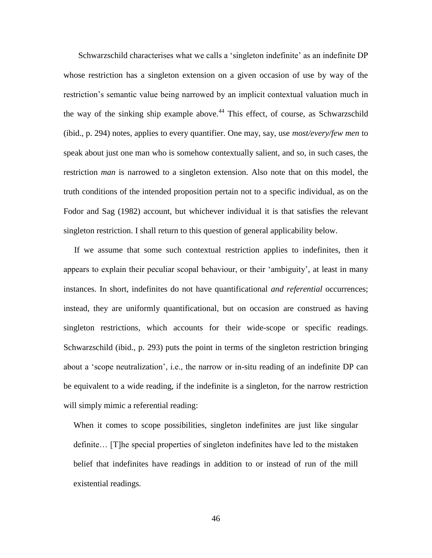Schwarzschild characterises what we calls a 'singleton indefinite' as an indefinite DP whose restriction has a singleton extension on a given occasion of use by way of the restriction's semantic value being narrowed by an implicit contextual valuation much in the way of the sinking ship example above.<sup>44</sup> This effect, of course, as Schwarzschild (ibid., p. 294) notes, applies to every quantifier. One may, say, use *most/every/few men* to speak about just one man who is somehow contextually salient, and so, in such cases, the restriction *man* is narrowed to a singleton extension. Also note that on this model, the truth conditions of the intended proposition pertain not to a specific individual, as on the Fodor and Sag (1982) account, but whichever individual it is that satisfies the relevant singleton restriction. I shall return to this question of general applicability below.

 If we assume that some such contextual restriction applies to indefinites, then it appears to explain their peculiar scopal behaviour, or their 'ambiguity', at least in many instances. In short, indefinites do not have quantificational *and referential* occurrences; instead, they are uniformly quantificational, but on occasion are construed as having singleton restrictions, which accounts for their wide-scope or specific readings. Schwarzschild (ibid., p. 293) puts the point in terms of the singleton restriction bringing about a 'scope neutralization', i.e., the narrow or in-situ reading of an indefinite DP can be equivalent to a wide reading, if the indefinite is a singleton, for the narrow restriction will simply mimic a referential reading:

When it comes to scope possibilities, singleton indefinites are just like singular definite… [T]he special properties of singleton indefinites have led to the mistaken belief that indefinites have readings in addition to or instead of run of the mill existential readings.

46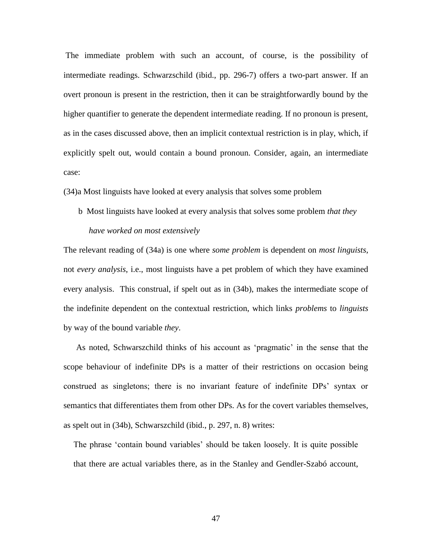The immediate problem with such an account, of course, is the possibility of intermediate readings. Schwarzschild (ibid., pp. 296-7) offers a two-part answer. If an overt pronoun is present in the restriction, then it can be straightforwardly bound by the higher quantifier to generate the dependent intermediate reading. If no pronoun is present, as in the cases discussed above, then an implicit contextual restriction is in play, which, if explicitly spelt out, would contain a bound pronoun. Consider, again, an intermediate case:

(34)a Most linguists have looked at every analysis that solves some problem

 b Most linguists have looked at every analysis that solves some problem *that they have worked on most extensively*

The relevant reading of (34a) is one where *some problem* is dependent on *most linguists*, not *every analysis*, i.e., most linguists have a pet problem of which they have examined every analysis. This construal, if spelt out as in (34b), makes the intermediate scope of the indefinite dependent on the contextual restriction, which links *problems* to *linguists* by way of the bound variable *they*.

 As noted, Schwarszchild thinks of his account as 'pragmatic' in the sense that the scope behaviour of indefinite DPs is a matter of their restrictions on occasion being construed as singletons; there is no invariant feature of indefinite DPs' syntax or semantics that differentiates them from other DPs. As for the covert variables themselves, as spelt out in (34b), Schwarszchild (ibid., p. 297, n. 8) writes:

The phrase 'contain bound variables' should be taken loosely. It is quite possible that there are actual variables there, as in the Stanley and Gendler-Szabó account,

47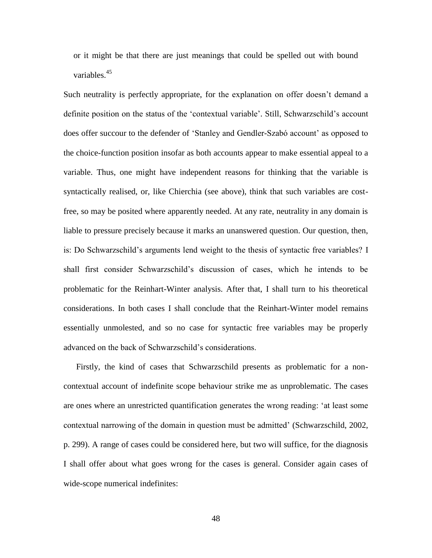or it might be that there are just meanings that could be spelled out with bound variables.<sup>45</sup>

Such neutrality is perfectly appropriate, for the explanation on offer doesn't demand a definite position on the status of the 'contextual variable'. Still, Schwarzschild's account does offer succour to the defender of 'Stanley and Gendler-Szabó account' as opposed to the choice-function position insofar as both accounts appear to make essential appeal to a variable. Thus, one might have independent reasons for thinking that the variable is syntactically realised, or, like Chierchia (see above), think that such variables are costfree, so may be posited where apparently needed. At any rate, neutrality in any domain is liable to pressure precisely because it marks an unanswered question. Our question, then, is: Do Schwarzschild's arguments lend weight to the thesis of syntactic free variables? I shall first consider Schwarzschild's discussion of cases, which he intends to be problematic for the Reinhart-Winter analysis. After that, I shall turn to his theoretical considerations. In both cases I shall conclude that the Reinhart-Winter model remains essentially unmolested, and so no case for syntactic free variables may be properly advanced on the back of Schwarzschild's considerations.

 Firstly, the kind of cases that Schwarzschild presents as problematic for a noncontextual account of indefinite scope behaviour strike me as unproblematic. The cases are ones where an unrestricted quantification generates the wrong reading: 'at least some contextual narrowing of the domain in question must be admitted' (Schwarzschild, 2002, p. 299). A range of cases could be considered here, but two will suffice, for the diagnosis I shall offer about what goes wrong for the cases is general. Consider again cases of wide-scope numerical indefinites: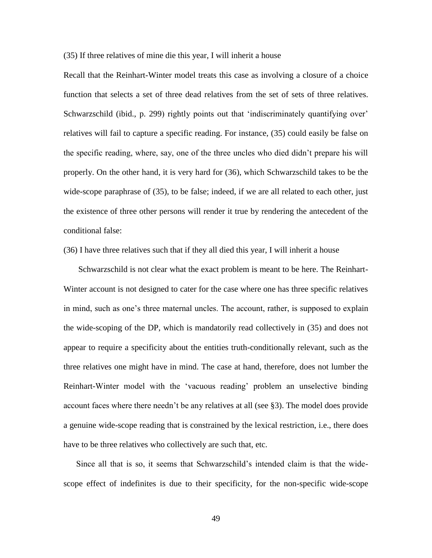(35) If three relatives of mine die this year, I will inherit a house

Recall that the Reinhart-Winter model treats this case as involving a closure of a choice function that selects a set of three dead relatives from the set of sets of three relatives. Schwarzschild (ibid., p. 299) rightly points out that 'indiscriminately quantifying over' relatives will fail to capture a specific reading. For instance, (35) could easily be false on the specific reading, where, say, one of the three uncles who died didn't prepare his will properly. On the other hand, it is very hard for (36), which Schwarzschild takes to be the wide-scope paraphrase of (35), to be false; indeed, if we are all related to each other, just the existence of three other persons will render it true by rendering the antecedent of the conditional false:

(36) I have three relatives such that if they all died this year, I will inherit a house

 Schwarzschild is not clear what the exact problem is meant to be here. The Reinhart-Winter account is not designed to cater for the case where one has three specific relatives in mind, such as one's three maternal uncles. The account, rather, is supposed to explain the wide-scoping of the DP, which is mandatorily read collectively in (35) and does not appear to require a specificity about the entities truth-conditionally relevant, such as the three relatives one might have in mind. The case at hand, therefore, does not lumber the Reinhart-Winter model with the 'vacuous reading' problem an unselective binding account faces where there needn't be any relatives at all (see §3). The model does provide a genuine wide-scope reading that is constrained by the lexical restriction, i.e., there does have to be three relatives who collectively are such that, etc.

 Since all that is so, it seems that Schwarzschild's intended claim is that the widescope effect of indefinites is due to their specificity, for the non-specific wide-scope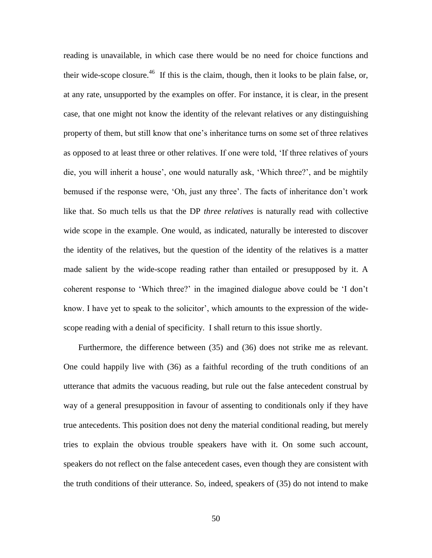reading is unavailable, in which case there would be no need for choice functions and their wide-scope closure.<sup>46</sup> If this is the claim, though, then it looks to be plain false, or, at any rate, unsupported by the examples on offer. For instance, it is clear, in the present case, that one might not know the identity of the relevant relatives or any distinguishing property of them, but still know that one's inheritance turns on some set of three relatives as opposed to at least three or other relatives. If one were told, 'If three relatives of yours die, you will inherit a house', one would naturally ask, 'Which three?', and be mightily bemused if the response were, 'Oh, just any three'. The facts of inheritance don't work like that. So much tells us that the DP *three relatives* is naturally read with collective wide scope in the example. One would, as indicated, naturally be interested to discover the identity of the relatives, but the question of the identity of the relatives is a matter made salient by the wide-scope reading rather than entailed or presupposed by it. A coherent response to 'Which three?' in the imagined dialogue above could be 'I don't know. I have yet to speak to the solicitor', which amounts to the expression of the widescope reading with a denial of specificity. I shall return to this issue shortly.

 Furthermore, the difference between (35) and (36) does not strike me as relevant. One could happily live with (36) as a faithful recording of the truth conditions of an utterance that admits the vacuous reading, but rule out the false antecedent construal by way of a general presupposition in favour of assenting to conditionals only if they have true antecedents. This position does not deny the material conditional reading, but merely tries to explain the obvious trouble speakers have with it. On some such account, speakers do not reflect on the false antecedent cases, even though they are consistent with the truth conditions of their utterance. So, indeed, speakers of (35) do not intend to make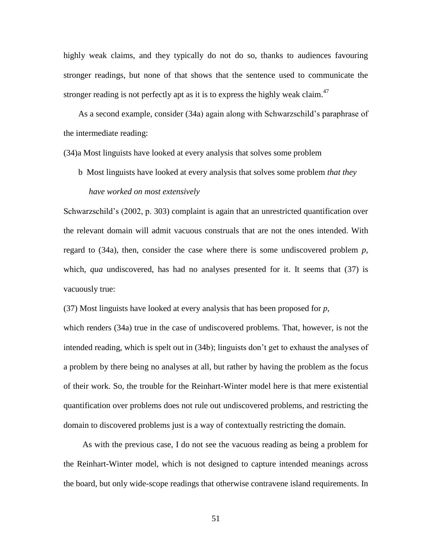highly weak claims, and they typically do not do so, thanks to audiences favouring stronger readings, but none of that shows that the sentence used to communicate the stronger reading is not perfectly apt as it is to express the highly weak claim.<sup>47</sup>

 As a second example, consider (34a) again along with Schwarzschild's paraphrase of the intermediate reading:

(34)a Most linguists have looked at every analysis that solves some problem

 b Most linguists have looked at every analysis that solves some problem *that they have worked on most extensively*

Schwarzschild's (2002, p. 303) complaint is again that an unrestricted quantification over the relevant domain will admit vacuous construals that are not the ones intended. With regard to (34a), then, consider the case where there is some undiscovered problem *p*, which, *qua* undiscovered, has had no analyses presented for it. It seems that (37) is vacuously true:

(37) Most linguists have looked at every analysis that has been proposed for *p*,

which renders (34a) true in the case of undiscovered problems. That, however, is not the intended reading, which is spelt out in (34b); linguists don't get to exhaust the analyses of a problem by there being no analyses at all, but rather by having the problem as the focus of their work. So, the trouble for the Reinhart-Winter model here is that mere existential quantification over problems does not rule out undiscovered problems, and restricting the domain to discovered problems just is a way of contextually restricting the domain.

 As with the previous case, I do not see the vacuous reading as being a problem for the Reinhart-Winter model, which is not designed to capture intended meanings across the board, but only wide-scope readings that otherwise contravene island requirements. In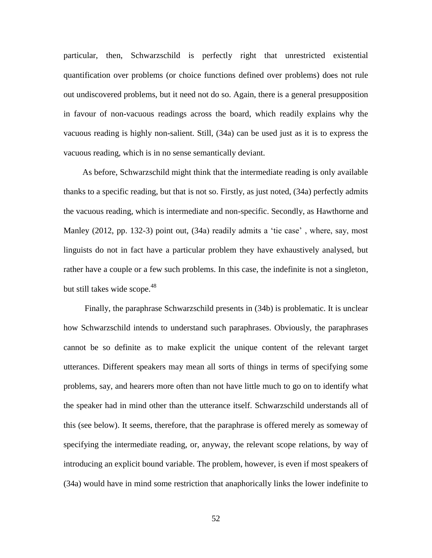particular, then, Schwarzschild is perfectly right that unrestricted existential quantification over problems (or choice functions defined over problems) does not rule out undiscovered problems, but it need not do so. Again, there is a general presupposition in favour of non-vacuous readings across the board, which readily explains why the vacuous reading is highly non-salient. Still, (34a) can be used just as it is to express the vacuous reading, which is in no sense semantically deviant.

 As before, Schwarzschild might think that the intermediate reading is only available thanks to a specific reading, but that is not so. Firstly, as just noted, (34a) perfectly admits the vacuous reading, which is intermediate and non-specific. Secondly, as Hawthorne and Manley (2012, pp. 132-3) point out, (34a) readily admits a 'tie case' , where, say, most linguists do not in fact have a particular problem they have exhaustively analysed, but rather have a couple or a few such problems. In this case, the indefinite is not a singleton, but still takes wide scope.<sup>48</sup>

 Finally, the paraphrase Schwarzschild presents in (34b) is problematic. It is unclear how Schwarzschild intends to understand such paraphrases. Obviously, the paraphrases cannot be so definite as to make explicit the unique content of the relevant target utterances. Different speakers may mean all sorts of things in terms of specifying some problems, say, and hearers more often than not have little much to go on to identify what the speaker had in mind other than the utterance itself. Schwarzschild understands all of this (see below). It seems, therefore, that the paraphrase is offered merely as someway of specifying the intermediate reading, or, anyway, the relevant scope relations, by way of introducing an explicit bound variable. The problem, however, is even if most speakers of (34a) would have in mind some restriction that anaphorically links the lower indefinite to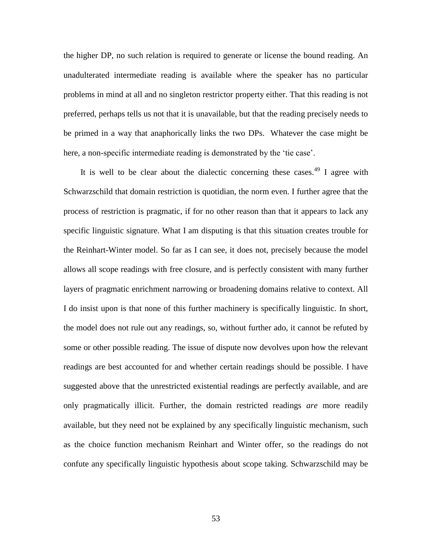the higher DP, no such relation is required to generate or license the bound reading. An unadulterated intermediate reading is available where the speaker has no particular problems in mind at all and no singleton restrictor property either. That this reading is not preferred, perhaps tells us not that it is unavailable, but that the reading precisely needs to be primed in a way that anaphorically links the two DPs. Whatever the case might be here, a non-specific intermediate reading is demonstrated by the 'tie case'.

It is well to be clear about the dialectic concerning these cases.<sup>49</sup> I agree with Schwarzschild that domain restriction is quotidian, the norm even. I further agree that the process of restriction is pragmatic, if for no other reason than that it appears to lack any specific linguistic signature. What I am disputing is that this situation creates trouble for the Reinhart-Winter model. So far as I can see, it does not, precisely because the model allows all scope readings with free closure, and is perfectly consistent with many further layers of pragmatic enrichment narrowing or broadening domains relative to context. All I do insist upon is that none of this further machinery is specifically linguistic. In short, the model does not rule out any readings, so, without further ado, it cannot be refuted by some or other possible reading. The issue of dispute now devolves upon how the relevant readings are best accounted for and whether certain readings should be possible. I have suggested above that the unrestricted existential readings are perfectly available, and are only pragmatically illicit. Further, the domain restricted readings *are* more readily available, but they need not be explained by any specifically linguistic mechanism, such as the choice function mechanism Reinhart and Winter offer, so the readings do not confute any specifically linguistic hypothesis about scope taking. Schwarzschild may be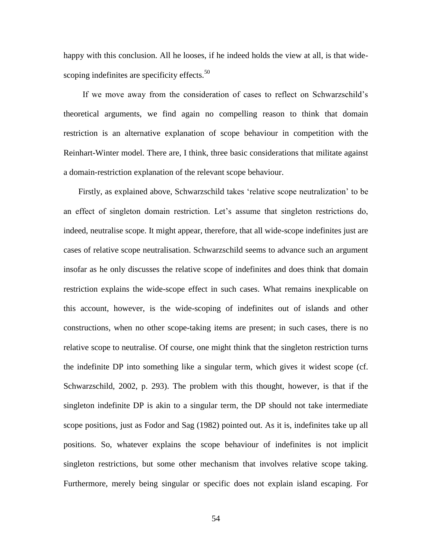happy with this conclusion. All he looses, if he indeed holds the view at all, is that widescoping indefinites are specificity effects.<sup>50</sup>

 If we move away from the consideration of cases to reflect on Schwarzschild's theoretical arguments, we find again no compelling reason to think that domain restriction is an alternative explanation of scope behaviour in competition with the Reinhart-Winter model. There are, I think, three basic considerations that militate against a domain-restriction explanation of the relevant scope behaviour.

 Firstly, as explained above, Schwarzschild takes 'relative scope neutralization' to be an effect of singleton domain restriction. Let's assume that singleton restrictions do, indeed, neutralise scope. It might appear, therefore, that all wide-scope indefinites just are cases of relative scope neutralisation. Schwarzschild seems to advance such an argument insofar as he only discusses the relative scope of indefinites and does think that domain restriction explains the wide-scope effect in such cases. What remains inexplicable on this account, however, is the wide-scoping of indefinites out of islands and other constructions, when no other scope-taking items are present; in such cases, there is no relative scope to neutralise. Of course, one might think that the singleton restriction turns the indefinite DP into something like a singular term, which gives it widest scope (cf. Schwarzschild, 2002, p. 293). The problem with this thought, however, is that if the singleton indefinite DP is akin to a singular term, the DP should not take intermediate scope positions, just as Fodor and Sag (1982) pointed out. As it is, indefinites take up all positions. So, whatever explains the scope behaviour of indefinites is not implicit singleton restrictions, but some other mechanism that involves relative scope taking. Furthermore, merely being singular or specific does not explain island escaping. For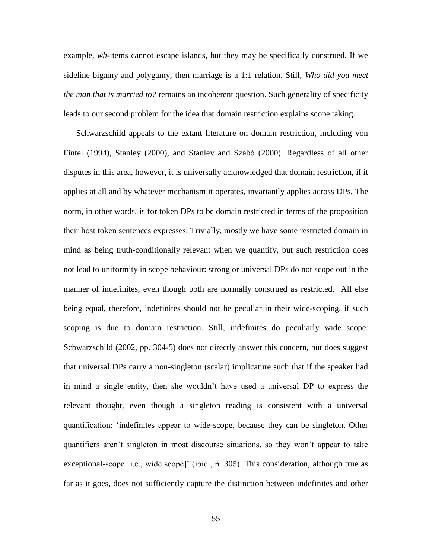example, *wh*-items cannot escape islands, but they may be specifically construed. If we sideline bigamy and polygamy, then marriage is a 1:1 relation. Still, *Who did you meet the man that is married to?* remains an incoherent question. Such generality of specificity leads to our second problem for the idea that domain restriction explains scope taking.

 Schwarzschild appeals to the extant literature on domain restriction, including von Fintel (1994), Stanley (2000), and Stanley and Szabó (2000). Regardless of all other disputes in this area, however, it is universally acknowledged that domain restriction, if it applies at all and by whatever mechanism it operates, invariantly applies across DPs. The norm, in other words, is for token DPs to be domain restricted in terms of the proposition their host token sentences expresses. Trivially, mostly we have some restricted domain in mind as being truth-conditionally relevant when we quantify, but such restriction does not lead to uniformity in scope behaviour: strong or universal DPs do not scope out in the manner of indefinites, even though both are normally construed as restricted. All else being equal, therefore, indefinites should not be peculiar in their wide-scoping, if such scoping is due to domain restriction. Still, indefinites do peculiarly wide scope. Schwarzschild (2002, pp. 304-5) does not directly answer this concern, but does suggest that universal DPs carry a non-singleton (scalar) implicature such that if the speaker had in mind a single entity, then she wouldn't have used a universal DP to express the relevant thought, even though a singleton reading is consistent with a universal quantification: 'indefinites appear to wide-scope, because they can be singleton. Other quantifiers aren't singleton in most discourse situations, so they won't appear to take exceptional-scope [i.e., wide scope]' (ibid., p. 305). This consideration, although true as far as it goes, does not sufficiently capture the distinction between indefinites and other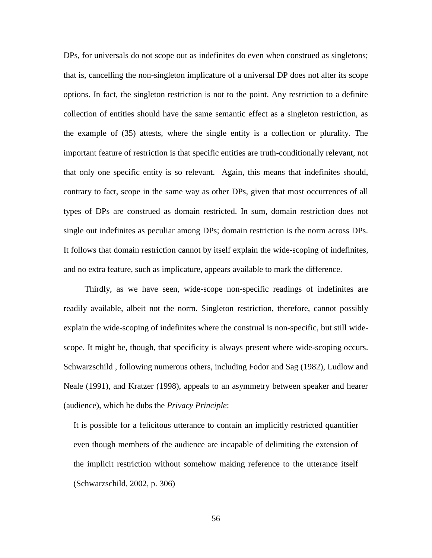DPs, for universals do not scope out as indefinites do even when construed as singletons; that is, cancelling the non-singleton implicature of a universal DP does not alter its scope options. In fact, the singleton restriction is not to the point. Any restriction to a definite collection of entities should have the same semantic effect as a singleton restriction, as the example of (35) attests, where the single entity is a collection or plurality. The important feature of restriction is that specific entities are truth-conditionally relevant, not that only one specific entity is so relevant. Again, this means that indefinites should, contrary to fact, scope in the same way as other DPs, given that most occurrences of all types of DPs are construed as domain restricted. In sum, domain restriction does not single out indefinites as peculiar among DPs; domain restriction is the norm across DPs. It follows that domain restriction cannot by itself explain the wide-scoping of indefinites, and no extra feature, such as implicature, appears available to mark the difference.

 Thirdly, as we have seen, wide-scope non-specific readings of indefinites are readily available, albeit not the norm. Singleton restriction, therefore, cannot possibly explain the wide-scoping of indefinites where the construal is non-specific, but still widescope. It might be, though, that specificity is always present where wide-scoping occurs. Schwarzschild , following numerous others, including Fodor and Sag (1982), Ludlow and Neale (1991), and Kratzer (1998), appeals to an asymmetry between speaker and hearer (audience), which he dubs the *Privacy Principle*:

It is possible for a felicitous utterance to contain an implicitly restricted quantifier even though members of the audience are incapable of delimiting the extension of the implicit restriction without somehow making reference to the utterance itself (Schwarzschild, 2002, p. 306)

56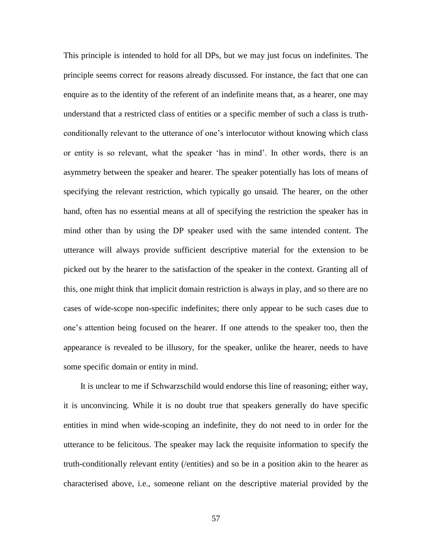This principle is intended to hold for all DPs, but we may just focus on indefinites. The principle seems correct for reasons already discussed. For instance, the fact that one can enquire as to the identity of the referent of an indefinite means that, as a hearer, one may understand that a restricted class of entities or a specific member of such a class is truthconditionally relevant to the utterance of one's interlocutor without knowing which class or entity is so relevant, what the speaker 'has in mind'. In other words, there is an asymmetry between the speaker and hearer. The speaker potentially has lots of means of specifying the relevant restriction, which typically go unsaid. The hearer, on the other hand, often has no essential means at all of specifying the restriction the speaker has in mind other than by using the DP speaker used with the same intended content. The utterance will always provide sufficient descriptive material for the extension to be picked out by the hearer to the satisfaction of the speaker in the context. Granting all of this, one might think that implicit domain restriction is always in play, and so there are no cases of wide-scope non-specific indefinites; there only appear to be such cases due to one's attention being focused on the hearer. If one attends to the speaker too, then the appearance is revealed to be illusory, for the speaker, unlike the hearer, needs to have some specific domain or entity in mind.

 It is unclear to me if Schwarzschild would endorse this line of reasoning; either way, it is unconvincing. While it is no doubt true that speakers generally do have specific entities in mind when wide-scoping an indefinite, they do not need to in order for the utterance to be felicitous. The speaker may lack the requisite information to specify the truth-conditionally relevant entity (/entities) and so be in a position akin to the hearer as characterised above, i.e., someone reliant on the descriptive material provided by the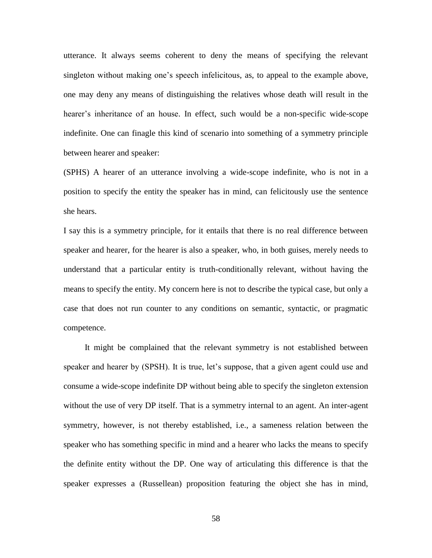utterance. It always seems coherent to deny the means of specifying the relevant singleton without making one's speech infelicitous, as, to appeal to the example above, one may deny any means of distinguishing the relatives whose death will result in the hearer's inheritance of an house. In effect, such would be a non-specific wide-scope indefinite. One can finagle this kind of scenario into something of a symmetry principle between hearer and speaker:

(SPHS) A hearer of an utterance involving a wide-scope indefinite, who is not in a position to specify the entity the speaker has in mind, can felicitously use the sentence she hears.

I say this is a symmetry principle, for it entails that there is no real difference between speaker and hearer, for the hearer is also a speaker, who, in both guises, merely needs to understand that a particular entity is truth-conditionally relevant, without having the means to specify the entity. My concern here is not to describe the typical case, but only a case that does not run counter to any conditions on semantic, syntactic, or pragmatic competence.

 It might be complained that the relevant symmetry is not established between speaker and hearer by (SPSH). It is true, let's suppose, that a given agent could use and consume a wide-scope indefinite DP without being able to specify the singleton extension without the use of very DP itself. That is a symmetry internal to an agent. An inter-agent symmetry, however, is not thereby established, i.e., a sameness relation between the speaker who has something specific in mind and a hearer who lacks the means to specify the definite entity without the DP. One way of articulating this difference is that the speaker expresses a (Russellean) proposition featuring the object she has in mind,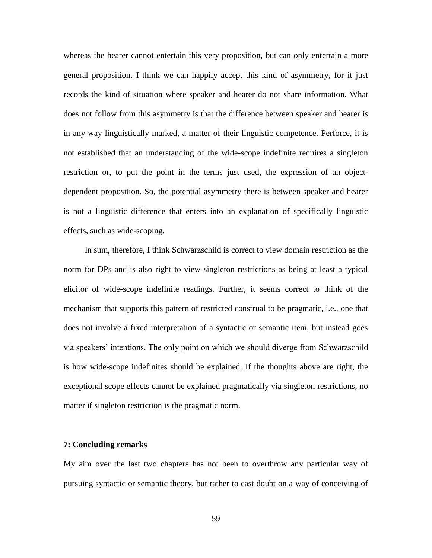whereas the hearer cannot entertain this very proposition, but can only entertain a more general proposition. I think we can happily accept this kind of asymmetry, for it just records the kind of situation where speaker and hearer do not share information. What does not follow from this asymmetry is that the difference between speaker and hearer is in any way linguistically marked, a matter of their linguistic competence. Perforce, it is not established that an understanding of the wide-scope indefinite requires a singleton restriction or, to put the point in the terms just used, the expression of an objectdependent proposition. So, the potential asymmetry there is between speaker and hearer is not a linguistic difference that enters into an explanation of specifically linguistic effects, such as wide-scoping.

 In sum, therefore, I think Schwarzschild is correct to view domain restriction as the norm for DPs and is also right to view singleton restrictions as being at least a typical elicitor of wide-scope indefinite readings. Further, it seems correct to think of the mechanism that supports this pattern of restricted construal to be pragmatic, i.e., one that does not involve a fixed interpretation of a syntactic or semantic item, but instead goes via speakers' intentions. The only point on which we should diverge from Schwarzschild is how wide-scope indefinites should be explained. If the thoughts above are right, the exceptional scope effects cannot be explained pragmatically via singleton restrictions, no matter if singleton restriction is the pragmatic norm.

## **7: Concluding remarks**

My aim over the last two chapters has not been to overthrow any particular way of pursuing syntactic or semantic theory, but rather to cast doubt on a way of conceiving of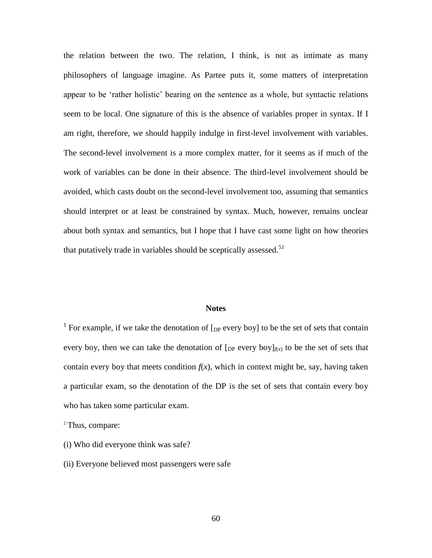the relation between the two. The relation, I think, is not as intimate as many philosophers of language imagine. As Partee puts it, some matters of interpretation appear to be 'rather holistic' bearing on the sentence as a whole, but syntactic relations seem to be local. One signature of this is the absence of variables proper in syntax. If I am right, therefore, we should happily indulge in first-level involvement with variables. The second-level involvement is a more complex matter, for it seems as if much of the work of variables can be done in their absence. The third-level involvement should be avoided, which casts doubt on the second-level involvement too, assuming that semantics should interpret or at least be constrained by syntax. Much, however, remains unclear about both syntax and semantics, but I hope that I have cast some light on how theories that putatively trade in variables should be sceptically assessed. $51$ 

## **Notes**

<sup>1</sup> For example, if we take the denotation of  $[$ <sub>DP</sub> every boy] to be the set of sets that contain every boy, then we can take the denotation of  $[p]$  every boy  $]_{f(x)}$  to be the set of sets that contain every boy that meets condition  $f(x)$ , which in context might be, say, having taken a particular exam, so the denotation of the DP is the set of sets that contain every boy who has taken some particular exam.

<sup>2</sup> Thus, compare:

- (i) Who did everyone think was safe?
- (ii) Everyone believed most passengers were safe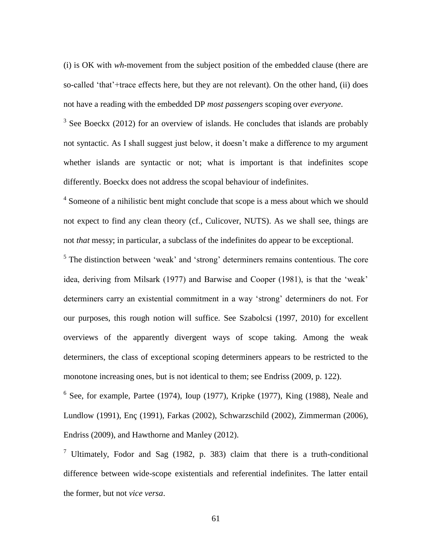(i) is OK with *wh*-movement from the subject position of the embedded clause (there are so-called 'that'+trace effects here, but they are not relevant). On the other hand, (ii) does not have a reading with the embedded DP *most passengers* scoping over *everyone*.

 $3$  See Boeckx (2012) for an overview of islands. He concludes that islands are probably not syntactic. As I shall suggest just below, it doesn't make a difference to my argument whether islands are syntactic or not; what is important is that indefinites scope differently. Boeckx does not address the scopal behaviour of indefinites.

<sup>4</sup> Someone of a nihilistic bent might conclude that scope is a mess about which we should not expect to find any clean theory (cf., Culicover, NUTS). As we shall see, things are not *that* messy; in particular, a subclass of the indefinites do appear to be exceptional.

 $<sup>5</sup>$  The distinction between 'weak' and 'strong' determiners remains contentious. The core</sup> idea, deriving from Milsark (1977) and Barwise and Cooper (1981), is that the 'weak' determiners carry an existential commitment in a way 'strong' determiners do not. For our purposes, this rough notion will suffice. See Szabolcsi (1997, 2010) for excellent overviews of the apparently divergent ways of scope taking. Among the weak determiners, the class of exceptional scoping determiners appears to be restricted to the monotone increasing ones, but is not identical to them; see Endriss (2009, p. 122).

 $6$  See, for example, Partee (1974), Ioup (1977), Kripke (1977), King (1988), Neale and Lundlow (1991), Enç (1991), Farkas (2002), Schwarzschild (2002), Zimmerman (2006), Endriss (2009), and Hawthorne and Manley (2012).

<sup>7</sup> Ultimately, Fodor and Sag (1982, p. 383) claim that there is a truth-conditional difference between wide-scope existentials and referential indefinites. The latter entail the former, but not *vice versa*.

61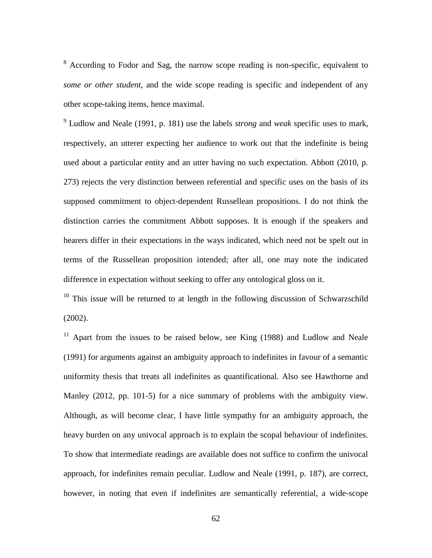<sup>8</sup> According to Fodor and Sag, the narrow scope reading is non-specific, equivalent to *some or other student*, and the wide scope reading is specific and independent of any other scope-taking items, hence maximal.

9 Ludlow and Neale (1991, p. 181) use the labels *strong* and *weak* specific uses to mark, respectively, an utterer expecting her audience to work out that the indefinite is being used about a particular entity and an utter having no such expectation. Abbott (2010, p. 273) rejects the very distinction between referential and specific uses on the basis of its supposed commitment to object-dependent Russellean propositions. I do not think the distinction carries the commitment Abbott supposes. It is enough if the speakers and hearers differ in their expectations in the ways indicated, which need not be spelt out in terms of the Russellean proposition intended; after all, one may note the indicated difference in expectation without seeking to offer any ontological gloss on it.

 $10$  This issue will be returned to at length in the following discussion of Schwarzschild (2002).

<sup>11</sup> Apart from the issues to be raised below, see King  $(1988)$  and Ludlow and Neale (1991) for arguments against an ambiguity approach to indefinites in favour of a semantic uniformity thesis that treats all indefinites as quantificational. Also see Hawthorne and Manley (2012, pp. 101-5) for a nice summary of problems with the ambiguity view. Although, as will become clear, I have little sympathy for an ambiguity approach, the heavy burden on any univocal approach is to explain the scopal behaviour of indefinites. To show that intermediate readings are available does not suffice to confirm the univocal approach, for indefinites remain peculiar. Ludlow and Neale (1991, p. 187), are correct, however, in noting that even if indefinites are semantically referential, a wide-scope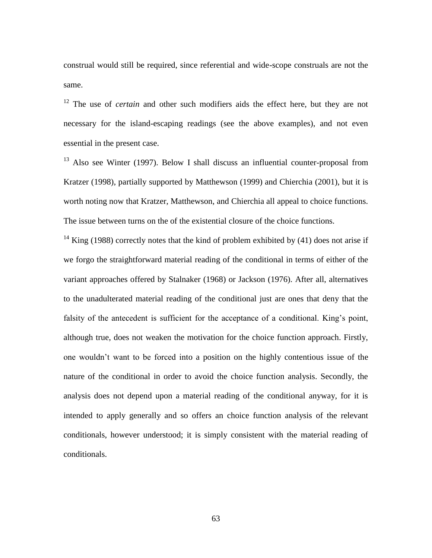construal would still be required, since referential and wide-scope construals are not the same.

<sup>12</sup> The use of *certain* and other such modifiers aids the effect here, but they are not necessary for the island-escaping readings (see the above examples), and not even essential in the present case.

 $13$  Also see Winter (1997). Below I shall discuss an influential counter-proposal from Kratzer (1998), partially supported by Matthewson (1999) and Chierchia (2001), but it is worth noting now that Kratzer, Matthewson, and Chierchia all appeal to choice functions. The issue between turns on the of the existential closure of the choice functions.

 $14$  King (1988) correctly notes that the kind of problem exhibited by (41) does not arise if we forgo the straightforward material reading of the conditional in terms of either of the variant approaches offered by Stalnaker (1968) or Jackson (1976). After all, alternatives to the unadulterated material reading of the conditional just are ones that deny that the falsity of the antecedent is sufficient for the acceptance of a conditional. King's point, although true, does not weaken the motivation for the choice function approach. Firstly, one wouldn't want to be forced into a position on the highly contentious issue of the nature of the conditional in order to avoid the choice function analysis. Secondly, the analysis does not depend upon a material reading of the conditional anyway, for it is intended to apply generally and so offers an choice function analysis of the relevant conditionals, however understood; it is simply consistent with the material reading of conditionals.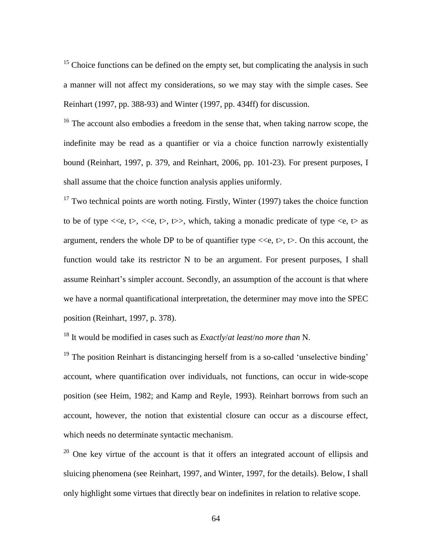$15$  Choice functions can be defined on the empty set, but complicating the analysis in such a manner will not affect my considerations, so we may stay with the simple cases. See Reinhart (1997, pp. 388-93) and Winter (1997, pp. 434ff) for discussion.

 $16$  The account also embodies a freedom in the sense that, when taking narrow scope, the indefinite may be read as a quantifier or via a choice function narrowly existentially bound (Reinhart, 1997, p. 379, and Reinhart, 2006, pp. 101-23). For present purposes, I shall assume that the choice function analysis applies uniformly.

 $17$  Two technical points are worth noting. Firstly, Winter (1997) takes the choice function to be of type  $\langle \langle e, t \rangle, \langle \langle e, t \rangle, \rangle$ , which, taking a monadic predicate of type  $\langle e, t \rangle$  as argument, renders the whole DP to be of quantifier type  $\langle \langle e, t \rangle, \langle \rangle$ . On this account, the function would take its restrictor N to be an argument. For present purposes, I shall assume Reinhart's simpler account. Secondly, an assumption of the account is that where we have a normal quantificational interpretation, the determiner may move into the SPEC position (Reinhart, 1997, p. 378).

<sup>18</sup> It would be modified in cases such as *Exactly*/*at least*/*no more than* N.

 $19$  The position Reinhart is distancinging herself from is a so-called 'unselective binding' account, where quantification over individuals, not functions, can occur in wide-scope position (see Heim, 1982; and Kamp and Reyle, 1993). Reinhart borrows from such an account, however, the notion that existential closure can occur as a discourse effect, which needs no determinate syntactic mechanism.

 $20$  One key virtue of the account is that it offers an integrated account of ellipsis and sluicing phenomena (see Reinhart, 1997, and Winter, 1997, for the details). Below, I shall only highlight some virtues that directly bear on indefinites in relation to relative scope.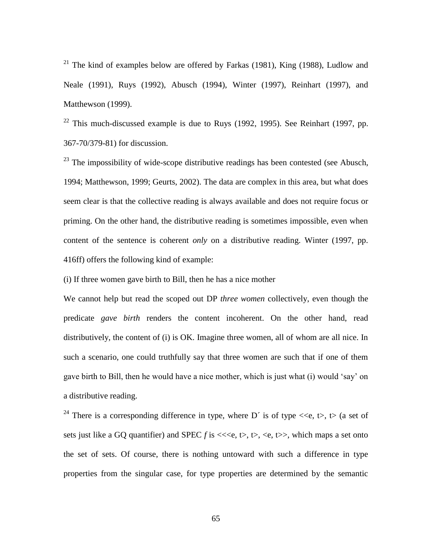<sup>21</sup> The kind of examples below are offered by Farkas (1981), King (1988), Ludlow and Neale (1991), Ruys (1992), Abusch (1994), Winter (1997), Reinhart (1997), and Matthewson (1999).

 $22$  This much-discussed example is due to Ruys (1992, 1995). See Reinhart (1997, pp. 367-70/379-81) for discussion.

 $^{23}$  The impossibility of wide-scope distributive readings has been contested (see Abusch, 1994; Matthewson, 1999; Geurts, 2002). The data are complex in this area, but what does seem clear is that the collective reading is always available and does not require focus or priming. On the other hand, the distributive reading is sometimes impossible, even when content of the sentence is coherent *only* on a distributive reading. Winter (1997, pp. 416ff) offers the following kind of example:

(i) If three women gave birth to Bill, then he has a nice mother

We cannot help but read the scoped out DP *three women* collectively, even though the predicate *gave birth* renders the content incoherent. On the other hand, read distributively, the content of (i) is OK. Imagine three women, all of whom are all nice. In such a scenario, one could truthfully say that three women are such that if one of them gave birth to Bill, then he would have a nice mother, which is just what (i) would 'say' on a distributive reading.

<sup>24</sup> There is a corresponding difference in type, where D<sup> $\prime$ </sup> is of type  $\ll$ e, t $>$ , t $>$  (a set of sets just like a GQ quantifier) and SPEC  $f$  is  $\ll\ll$ ,  $\lt$ ,  $\lt$ ,  $\lt$ ,  $\lt$ ,  $\lt$ ,  $\lt$ ,  $\lt$ ,  $\lt$ ,  $\lt$ ,  $\lt$ ,  $\lt$ ,  $\lt$ ,  $\lt$ ,  $\lt$ ,  $\lt$ ,  $\lt$ ,  $\lt$ ,  $\lt$ ,  $\lt$ ,  $\lt$ ,  $\lt$ ,  $\lt$ ,  $\lt$ ,  $\lt$ ,  $\lt$ ,  $\lt$ ,  $\lt$ ,  $\lt$ the set of sets. Of course, there is nothing untoward with such a difference in type properties from the singular case, for type properties are determined by the semantic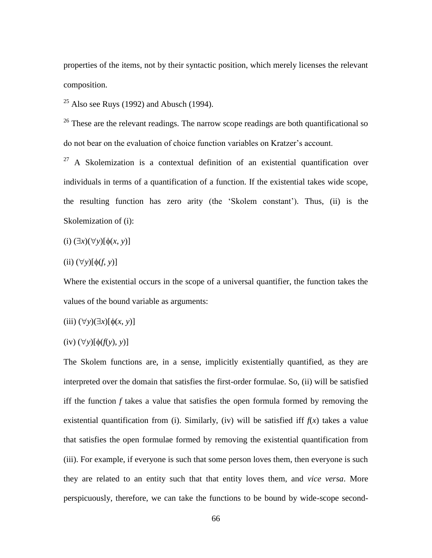properties of the items, not by their syntactic position, which merely licenses the relevant composition.

 $^{25}$  Also see Ruys (1992) and Abusch (1994).

<sup>26</sup> These are the relevant readings. The narrow scope readings are both quantificational so do not bear on the evaluation of choice function variables on Kratzer's account.

 $27$  A Skolemization is a contextual definition of an existential quantification over individuals in terms of a quantification of a function. If the existential takes wide scope, the resulting function has zero arity (the 'Skolem constant'). Thus, (ii) is the Skolemization of (i):

(i)  $(\exists x)(\forall y)[\phi(x, y)]$ 

 $(ii)$   $(\forall y)[\phi(f, y)]$ 

Where the existential occurs in the scope of a universal quantifier, the function takes the values of the bound variable as arguments:

$$
(iii) (\forall y)(\exists x)[\phi(x, y)]
$$

$$
(iv) (\forall y)[\phi(f(y), y)]
$$

The Skolem functions are, in a sense, implicitly existentially quantified, as they are interpreted over the domain that satisfies the first-order formulae. So, (ii) will be satisfied iff the function *f* takes a value that satisfies the open formula formed by removing the existential quantification from (i). Similarly, (iv) will be satisfied iff  $f(x)$  takes a value that satisfies the open formulae formed by removing the existential quantification from (iii). For example, if everyone is such that some person loves them, then everyone is such they are related to an entity such that that entity loves them, and *vice versa*. More perspicuously, therefore, we can take the functions to be bound by wide-scope second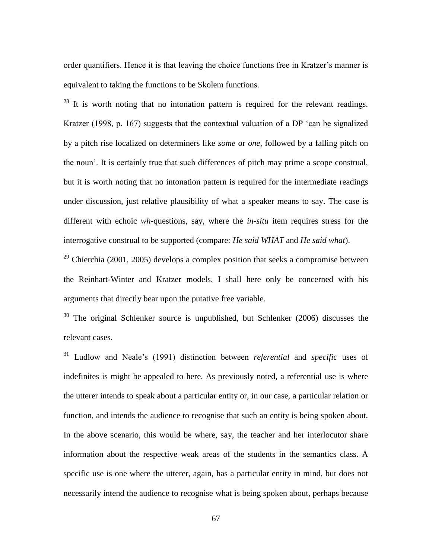order quantifiers. Hence it is that leaving the choice functions free in Kratzer's manner is equivalent to taking the functions to be Skolem functions.

 $28$  It is worth noting that no intonation pattern is required for the relevant readings. Kratzer (1998, p. 167) suggests that the contextual valuation of a DP 'can be signalized by a pitch rise localized on determiners like *some* or *one*, followed by a falling pitch on the noun'. It is certainly true that such differences of pitch may prime a scope construal, but it is worth noting that no intonation pattern is required for the intermediate readings under discussion, just relative plausibility of what a speaker means to say. The case is different with echoic *wh*-questions, say, where the *in-situ* item requires stress for the interrogative construal to be supported (compare: *He said WHAT* and *He said what*).

 $29$  Chierchia (2001, 2005) develops a complex position that seeks a compromise between the Reinhart-Winter and Kratzer models. I shall here only be concerned with his arguments that directly bear upon the putative free variable.

 $30$  The original Schlenker source is unpublished, but Schlenker (2006) discusses the relevant cases.

<sup>31</sup> Ludlow and Neale's (1991) distinction between *referential* and *specific* uses of indefinites is might be appealed to here. As previously noted, a referential use is where the utterer intends to speak about a particular entity or, in our case, a particular relation or function, and intends the audience to recognise that such an entity is being spoken about. In the above scenario, this would be where, say, the teacher and her interlocutor share information about the respective weak areas of the students in the semantics class. A specific use is one where the utterer, again, has a particular entity in mind, but does not necessarily intend the audience to recognise what is being spoken about, perhaps because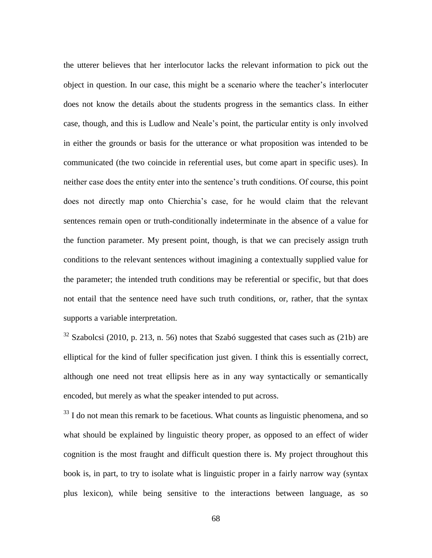the utterer believes that her interlocutor lacks the relevant information to pick out the object in question. In our case, this might be a scenario where the teacher's interlocuter does not know the details about the students progress in the semantics class. In either case, though, and this is Ludlow and Neale's point, the particular entity is only involved in either the grounds or basis for the utterance or what proposition was intended to be communicated (the two coincide in referential uses, but come apart in specific uses). In neither case does the entity enter into the sentence's truth conditions. Of course, this point does not directly map onto Chierchia's case, for he would claim that the relevant sentences remain open or truth-conditionally indeterminate in the absence of a value for the function parameter. My present point, though, is that we can precisely assign truth conditions to the relevant sentences without imagining a contextually supplied value for the parameter; the intended truth conditions may be referential or specific, but that does not entail that the sentence need have such truth conditions, or, rather, that the syntax supports a variable interpretation.

 $32$  Szabolcsi (2010, p. 213, n. 56) notes that Szabó suggested that cases such as (21b) are elliptical for the kind of fuller specification just given. I think this is essentially correct, although one need not treat ellipsis here as in any way syntactically or semantically encoded, but merely as what the speaker intended to put across.

 $33$  I do not mean this remark to be facetious. What counts as linguistic phenomena, and so what should be explained by linguistic theory proper, as opposed to an effect of wider cognition is the most fraught and difficult question there is. My project throughout this book is, in part, to try to isolate what is linguistic proper in a fairly narrow way (syntax plus lexicon), while being sensitive to the interactions between language, as so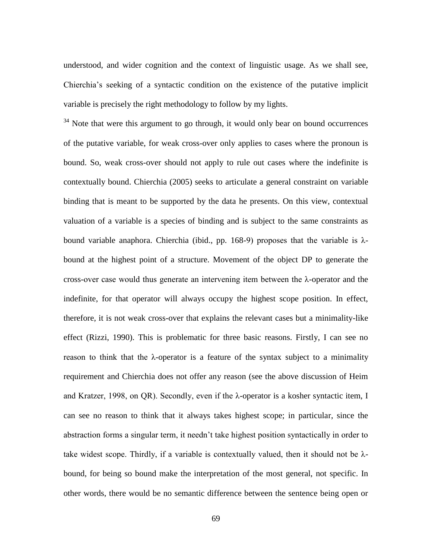understood, and wider cognition and the context of linguistic usage. As we shall see, Chierchia's seeking of a syntactic condition on the existence of the putative implicit variable is precisely the right methodology to follow by my lights.

<sup>34</sup> Note that were this argument to go through, it would only bear on bound occurrences of the putative variable, for weak cross-over only applies to cases where the pronoun is bound. So, weak cross-over should not apply to rule out cases where the indefinite is contextually bound. Chierchia (2005) seeks to articulate a general constraint on variable binding that is meant to be supported by the data he presents. On this view, contextual valuation of a variable is a species of binding and is subject to the same constraints as bound variable anaphora. Chierchia (ibid., pp. 168-9) proposes that the variable is  $\lambda$ bound at the highest point of a structure. Movement of the object DP to generate the cross-over case would thus generate an intervening item between the λ-operator and the indefinite, for that operator will always occupy the highest scope position. In effect, therefore, it is not weak cross-over that explains the relevant cases but a minimality-like effect (Rizzi, 1990). This is problematic for three basic reasons. Firstly, I can see no reason to think that the λ-operator is a feature of the syntax subject to a minimality requirement and Chierchia does not offer any reason (see the above discussion of Heim and Kratzer, 1998, on QR). Secondly, even if the λ-operator is a kosher syntactic item, I can see no reason to think that it always takes highest scope; in particular, since the abstraction forms a singular term, it needn't take highest position syntactically in order to take widest scope. Thirdly, if a variable is contextually valued, then it should not be  $\lambda$ bound, for being so bound make the interpretation of the most general, not specific. In other words, there would be no semantic difference between the sentence being open or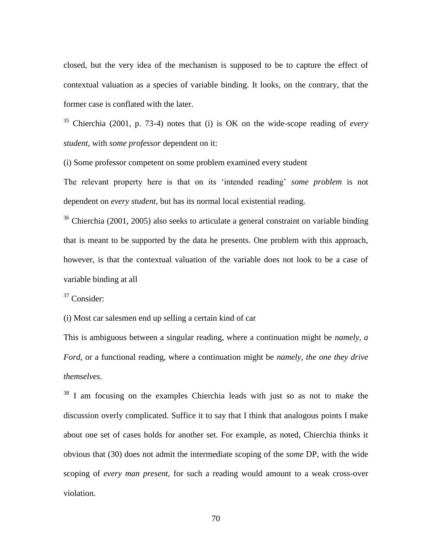closed, but the very idea of the mechanism is supposed to be to capture the effect of contextual valuation as a species of variable binding. It looks, on the contrary, that the former case is conflated with the later.

<sup>35</sup> Chierchia (2001, p. 73-4) notes that (i) is OK on the wide-scope reading of *every student*, with *some professor* dependent on it:

(i) Some professor competent on some problem examined every student

The relevant property here is that on its 'intended reading' *some problem* is not dependent on *every student*, but has its normal local existential reading.

 $36$  Chierchia (2001, 2005) also seeks to articulate a general constraint on variable binding that is meant to be supported by the data he presents. One problem with this approach, however, is that the contextual valuation of the variable does not look to be a case of variable binding at all

 $37$  Consider:

(i) Most car salesmen end up selling a certain kind of car

This is ambiguous between a singular reading, where a continuation might be *namely, a Ford*, or a functional reading, where a continuation might be *namely, the one they drive themselves*.

 $38\,$  I am focusing on the examples Chierchia leads with just so as not to make the discussion overly complicated. Suffice it to say that I think that analogous points I make about one set of cases holds for another set. For example, as noted, Chierchia thinks it obvious that (30) does not admit the intermediate scoping of the *some* DP, with the wide scoping of *every man present*, for such a reading would amount to a weak cross-over violation.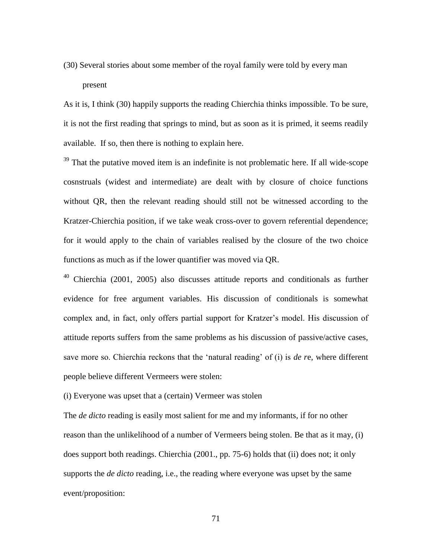(30) Several stories about some member of the royal family were told by every man present

As it is, I think (30) happily supports the reading Chierchia thinks impossible. To be sure, it is not the first reading that springs to mind, but as soon as it is primed, it seems readily available. If so, then there is nothing to explain here.

 $39$  That the putative moved item is an indefinite is not problematic here. If all wide-scope cosnstruals (widest and intermediate) are dealt with by closure of choice functions without QR, then the relevant reading should still not be witnessed according to the Kratzer-Chierchia position, if we take weak cross-over to govern referential dependence; for it would apply to the chain of variables realised by the closure of the two choice functions as much as if the lower quantifier was moved via QR.

 $40$  Chierchia (2001, 2005) also discusses attitude reports and conditionals as further evidence for free argument variables. His discussion of conditionals is somewhat complex and, in fact, only offers partial support for Kratzer's model. His discussion of attitude reports suffers from the same problems as his discussion of passive/active cases, save more so. Chierchia reckons that the 'natural reading' of (i) is *de r*e, where different people believe different Vermeers were stolen:

(i) Everyone was upset that a (certain) Vermeer was stolen

The *de dicto* reading is easily most salient for me and my informants, if for no other reason than the unlikelihood of a number of Vermeers being stolen. Be that as it may, (i) does support both readings. Chierchia (2001., pp. 75-6) holds that (ii) does not; it only supports the *de dicto* reading, i.e., the reading where everyone was upset by the same event/proposition:

71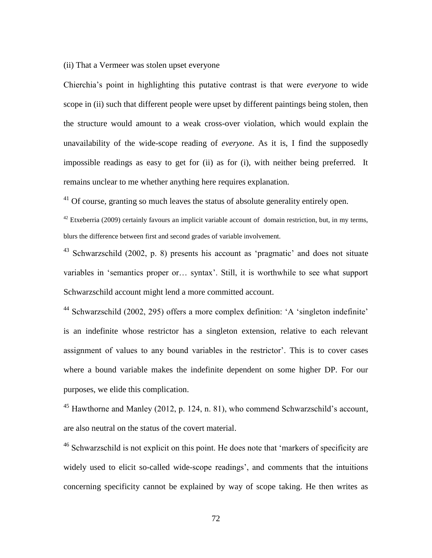## (ii) That a Vermeer was stolen upset everyone

Chierchia's point in highlighting this putative contrast is that were *everyone* to wide scope in (ii) such that different people were upset by different paintings being stolen, then the structure would amount to a weak cross-over violation, which would explain the unavailability of the wide-scope reading of *everyone*. As it is, I find the supposedly impossible readings as easy to get for (ii) as for (i), with neither being preferred. It remains unclear to me whether anything here requires explanation.

 $41$  Of course, granting so much leaves the status of absolute generality entirely open.

 $42$  Etxeberria (2009) certainly favours an implicit variable account of domain restriction, but, in my terms, blurs the difference between first and second grades of variable involvement.

<sup>43</sup> Schwarzschild (2002, p. 8) presents his account as 'pragmatic' and does not situate variables in 'semantics proper or… syntax'. Still, it is worthwhile to see what support Schwarzschild account might lend a more committed account.

<sup>44</sup> Schwarzschild (2002, 295) offers a more complex definition: 'A 'singleton indefinite' is an indefinite whose restrictor has a singleton extension, relative to each relevant assignment of values to any bound variables in the restrictor'. This is to cover cases where a bound variable makes the indefinite dependent on some higher DP. For our purposes, we elide this complication.

<sup>45</sup> Hawthorne and Manley (2012, p. 124, n. 81), who commend Schwarzschild's account, are also neutral on the status of the covert material.

<sup>46</sup> Schwarzschild is not explicit on this point. He does note that 'markers of specificity are widely used to elicit so-called wide-scope readings', and comments that the intuitions concerning specificity cannot be explained by way of scope taking. He then writes as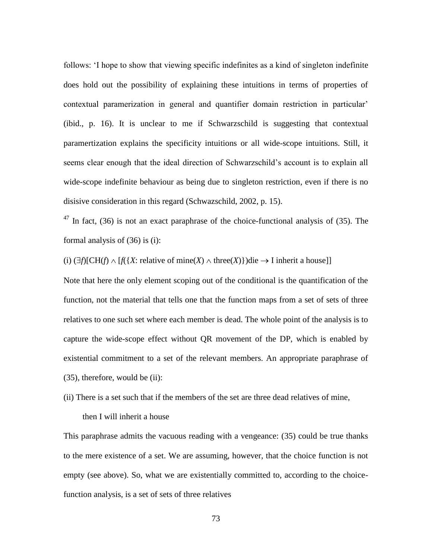follows: 'I hope to show that viewing specific indefinites as a kind of singleton indefinite does hold out the possibility of explaining these intuitions in terms of properties of contextual paramerization in general and quantifier domain restriction in particular' (ibid., p. 16). It is unclear to me if Schwarzschild is suggesting that contextual paramertization explains the specificity intuitions or all wide-scope intuitions. Still, it seems clear enough that the ideal direction of Schwarzschild's account is to explain all wide-scope indefinite behaviour as being due to singleton restriction, even if there is no disisive consideration in this regard (Schwazschild, 2002, p. 15).

 $^{47}$  In fact, (36) is not an exact paraphrase of the choice-functional analysis of (35). The formal analysis of (36) is (i):

(i)  $(\exists f)[CH(f) \land [f({X: relative of mine(X) \land three(X)})]$ die  $\rightarrow$  I inherit a house]]

Note that here the only element scoping out of the conditional is the quantification of the function, not the material that tells one that the function maps from a set of sets of three relatives to one such set where each member is dead. The whole point of the analysis is to capture the wide-scope effect without QR movement of the DP, which is enabled by existential commitment to a set of the relevant members. An appropriate paraphrase of (35), therefore, would be (ii):

(ii) There is a set such that if the members of the set are three dead relatives of mine,

then I will inherit a house

This paraphrase admits the vacuous reading with a vengeance: (35) could be true thanks to the mere existence of a set. We are assuming, however, that the choice function is not empty (see above). So, what we are existentially committed to, according to the choicefunction analysis, is a set of sets of three relatives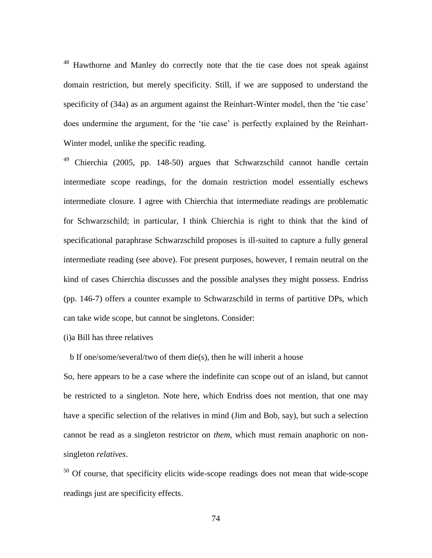<sup>48</sup> Hawthorne and Manley do correctly note that the tie case does not speak against domain restriction, but merely specificity. Still, if we are supposed to understand the specificity of (34a) as an argument against the Reinhart-Winter model, then the 'tie case' does undermine the argument, for the 'tie case' is perfectly explained by the Reinhart-Winter model, unlike the specific reading.

<sup>49</sup> Chierchia (2005, pp. 148-50) argues that Schwarzschild cannot handle certain intermediate scope readings, for the domain restriction model essentially eschews intermediate closure. I agree with Chierchia that intermediate readings are problematic for Schwarzschild; in particular, I think Chierchia is right to think that the kind of specificational paraphrase Schwarzschild proposes is ill-suited to capture a fully general intermediate reading (see above). For present purposes, however, I remain neutral on the kind of cases Chierchia discusses and the possible analyses they might possess. Endriss (pp. 146-7) offers a counter example to Schwarzschild in terms of partitive DPs, which can take wide scope, but cannot be singletons. Consider:

(i)a Bill has three relatives

b If one/some/several/two of them die(s), then he will inherit a house

So, here appears to be a case where the indefinite can scope out of an island, but cannot be restricted to a singleton. Note here, which Endriss does not mention, that one may have a specific selection of the relatives in mind (Jim and Bob, say), but such a selection cannot be read as a singleton restrictor on *them*, which must remain anaphoric on nonsingleton *relatives*.

<sup>50</sup> Of course, that specificity elicits wide-scope readings does not mean that wide-scope readings just are specificity effects.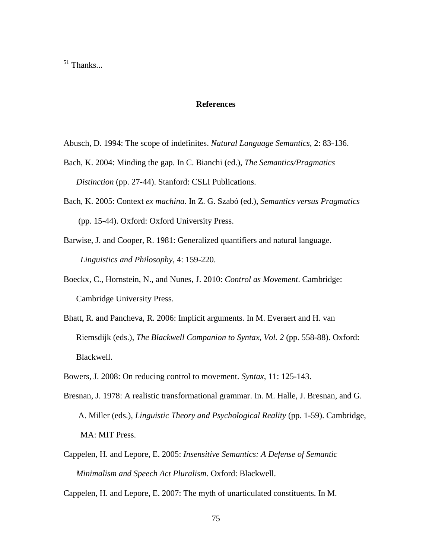<sup>51</sup> Thanks...

## **References**

- Abusch, D. 1994: The scope of indefinites. *Natural Language Semantics*, 2: 83-136.
- Bach, K. 2004: Minding the gap. In C. Bianchi (ed.), *The Semantics/Pragmatics Distinction* (pp. 27-44). Stanford: CSLI Publications.
- Bach, K. 2005: Context *ex machina*. In Z. G. Szabó (ed.), *Semantics versus Pragmatics*  (pp. 15-44). Oxford: Oxford University Press.
- Barwise, J. and Cooper, R. 1981: Generalized quantifiers and natural language. *Linguistics and Philosophy*, 4: 159-220.
- Boeckx, C., Hornstein, N., and Nunes, J. 2010: *Control as Movement*. Cambridge: Cambridge University Press.
- Bhatt, R. and Pancheva, R. 2006: Implicit arguments. In M. Everaert and H. van Riemsdijk (eds.), *The Blackwell Companion to Syntax, Vol. 2* (pp. 558-88). Oxford: Blackwell.
- Bowers, J. 2008: On reducing control to movement. *Syntax*, 11: 125-143.
- Bresnan, J. 1978: A realistic transformational grammar. In. M. Halle, J. Bresnan, and G. A. Miller (eds.), *Linguistic Theory and Psychological Reality* (pp. 1-59). Cambridge, MA: MIT Press.
- Cappelen, H. and Lepore, E. 2005: *Insensitive Semantics: A Defense of Semantic Minimalism and Speech Act Pluralism*. Oxford: Blackwell.

Cappelen, H. and Lepore, E. 2007: The myth of unarticulated constituents. In M.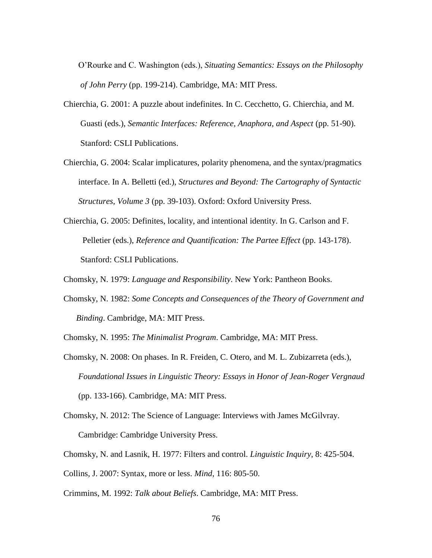O'Rourke and C. Washington (eds.), *Situating Semantics: Essays on the Philosophy of John Perry* (pp. 199-214). Cambridge, MA: MIT Press.

- Chierchia, G. 2001: A puzzle about indefinites. In C. Cecchetto, G. Chierchia, and M. Guasti (eds.), *Semantic Interfaces: Reference, Anaphora, and Aspect* (pp. 51-90). Stanford: CSLI Publications.
- Chierchia, G. 2004: Scalar implicatures, polarity phenomena, and the syntax/pragmatics interface. In A. Belletti (ed.), *Structures and Beyond: The Cartography of Syntactic Structures, Volume 3* (pp. 39-103). Oxford: Oxford University Press.
- Chierchia, G. 2005: Definites, locality, and intentional identity. In G. Carlson and F. Pelletier (eds.), *Reference and Quantification: The Partee Effect* (pp. 143-178). Stanford: CSLI Publications.
- Chomsky, N. 1979: *Language and Responsibility*. New York: Pantheon Books.
- Chomsky, N. 1982: *Some Concepts and Consequences of the Theory of Government and Binding*. Cambridge, MA: MIT Press.
- Chomsky, N. 1995: *The Minimalist Program*. Cambridge, MA: MIT Press.
- Chomsky, N. 2008: On phases. In R. Freiden, C. Otero, and M. L. Zubizarreta (eds.), *Foundational Issues in Linguistic Theory: Essays in Honor of Jean-Roger Vergnaud* (pp. 133-166). Cambridge, MA: MIT Press.
- Chomsky, N. 2012: The Science of Language: Interviews with James McGilvray. Cambridge: Cambridge University Press.
- Chomsky, N. and Lasnik, H. 1977: Filters and control. *Linguistic Inquiry*, 8: 425-504.
- Collins, J. 2007: Syntax, more or less. *Mind*, 116: 805-50.
- Crimmins, M. 1992: *Talk about Beliefs*. Cambridge, MA: MIT Press.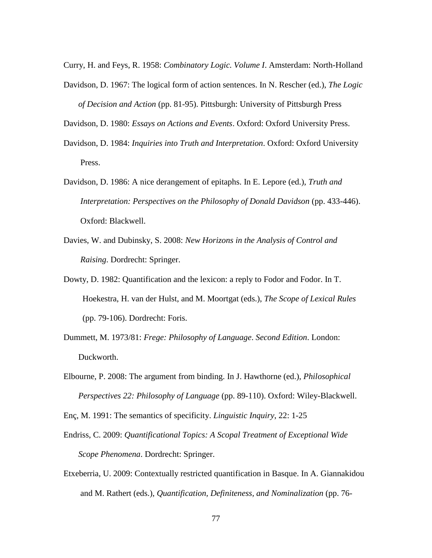Curry, H. and Feys, R. 1958: *Combinatory Logic. Volume I*. Amsterdam: North-Holland

Davidson, D. 1967: The logical form of action sentences. In N. Rescher (ed.), *The Logic of Decision and Action* (pp. 81-95). Pittsburgh: University of Pittsburgh Press

Davidson, D. 1980: *Essays on Actions and Events*. Oxford: Oxford University Press.

- Davidson, D. 1984: *Inquiries into Truth and Interpretation*. Oxford: Oxford University Press.
- Davidson, D. 1986: A nice derangement of epitaphs. In E. Lepore (ed.), *Truth and Interpretation: Perspectives on the Philosophy of Donald Davidson* (pp. 433-446). Oxford: Blackwell.
- Davies, W. and Dubinsky, S. 2008: *New Horizons in the Analysis of Control and Raising*. Dordrecht: Springer.
- Dowty, D. 1982: Quantification and the lexicon: a reply to Fodor and Fodor. In T. Hoekestra, H. van der Hulst, and M. Moortgat (eds.), *The Scope of Lexical Rules* (pp. 79-106). Dordrecht: Foris.
- Dummett, M. 1973/81: *Frege: Philosophy of Language*. *Second Edition*. London: Duckworth.
- Elbourne, P. 2008: The argument from binding. In J. Hawthorne (ed.), *Philosophical Perspectives 22: Philosophy of Language* (pp. 89-110). Oxford: Wiley-Blackwell.

Enç, M. 1991: The semantics of specificity. *Linguistic Inquiry*, 22: 1-25

- Endriss, C. 2009: *Quantificational Topics: A Scopal Treatment of Exceptional Wide Scope Phenomena*. Dordrecht: Springer.
- Etxeberria, U. 2009: Contextually restricted quantification in Basque. In A. Giannakidou and M. Rathert (eds.), *Quantification, Definiteness, and Nominalization* (pp. 76-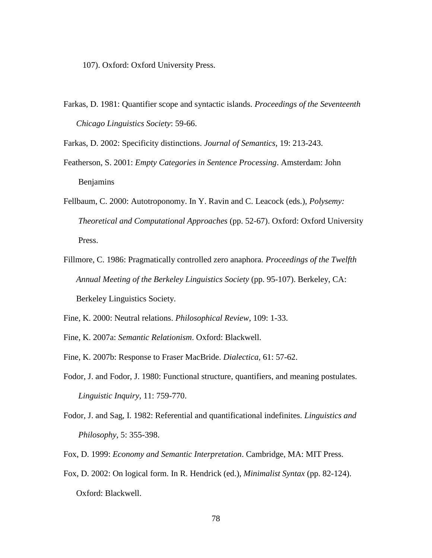107). Oxford: Oxford University Press.

Farkas, D. 1981: Quantifier scope and syntactic islands. *Proceedings of the Seventeenth Chicago Linguistics Society*: 59-66.

Farkas, D. 2002: Specificity distinctions. *Journal of Semantics*, 19: 213-243.

- Featherson, S. 2001: *Empty Categories in Sentence Processing*. Amsterdam: John Benjamins
- Fellbaum, C. 2000: Autotroponomy. In Y. Ravin and C. Leacock (eds.), *Polysemy: Theoretical and Computational Approaches* (pp. 52-67). Oxford: Oxford University Press.
- Fillmore, C. 1986: Pragmatically controlled zero anaphora. *Proceedings of the Twelfth Annual Meeting of the Berkeley Linguistics Society* (pp. 95-107). Berkeley, CA: Berkeley Linguistics Society.

Fine, K. 2000: Neutral relations. *Philosophical Review*, 109: 1-33.

Fine, K. 2007a: *Semantic Relationism*. Oxford: Blackwell.

- Fine, K. 2007b: Response to Fraser MacBride. *Dialectica*, 61: 57-62.
- Fodor, J. and Fodor, J. 1980: Functional structure, quantifiers, and meaning postulates. *Linguistic Inquiry*, 11: 759-770.
- Fodor, J. and Sag, I. 1982: Referential and quantificational indefinites. *Linguistics and Philosophy*, 5: 355-398.
- Fox, D. 1999: *Economy and Semantic Interpretation*. Cambridge, MA: MIT Press.
- Fox, D. 2002: On logical form. In R. Hendrick (ed.), *Minimalist Syntax* (pp. 82-124). Oxford: Blackwell.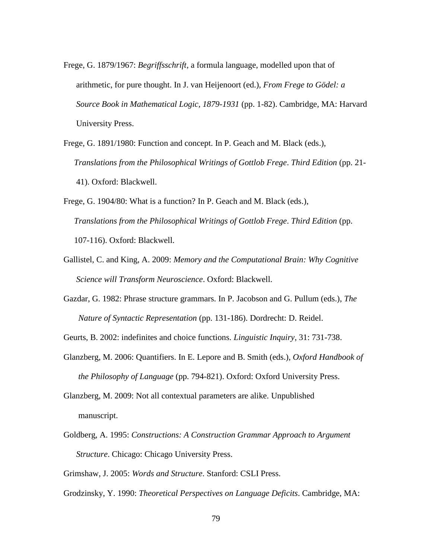- Frege, G. 1879/1967: *Begriffsschrift*, a formula language, modelled upon that of arithmetic, for pure thought. In J. van Heijenoort (ed.), *From Frege to Gödel: a Source Book in Mathematical Logic, 1879-1931* (pp. 1-82). Cambridge, MA: Harvard University Press.
- Frege, G. 1891/1980: Function and concept. In P. Geach and M. Black (eds.), *Translations from the Philosophical Writings of Gottlob Frege*. *Third Edition* (pp. 21- 41). Oxford: Blackwell.
- Frege, G. 1904/80: What is a function? In P. Geach and M. Black (eds.), *Translations from the Philosophical Writings of Gottlob Frege*. *Third Edition* (pp. 107-116). Oxford: Blackwell.
- Gallistel, C. and King, A. 2009: *Memory and the Computational Brain: Why Cognitive Science will Transform Neuroscience*. Oxford: Blackwell.
- Gazdar, G. 1982: Phrase structure grammars. In P. Jacobson and G. Pullum (eds.), *The Nature of Syntactic Representation* (pp. 131-186). Dordrecht: D. Reidel.
- Geurts, B. 2002: indefinites and choice functions. *Linguistic Inquiry*, 31: 731-738.
- Glanzberg, M. 2006: Quantifiers. In E. Lepore and B. Smith (eds.), *Oxford Handbook of the Philosophy of Language* (pp. 794-821). Oxford: Oxford University Press.
- Glanzberg, M. 2009: Not all contextual parameters are alike. Unpublished manuscript.
- Goldberg, A. 1995: *Constructions: A Construction Grammar Approach to Argument Structure*. Chicago: Chicago University Press.

Grimshaw, J. 2005: *Words and Structure*. Stanford: CSLI Press.

Grodzinsky, Y. 1990: *Theoretical Perspectives on Language Deficits*. Cambridge, MA: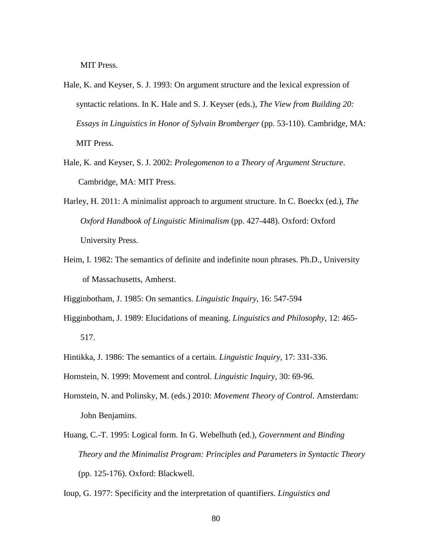MIT Press.

- Hale, K. and Keyser, S. J. 1993: On argument structure and the lexical expression of syntactic relations. In K. Hale and S. J. Keyser (eds.), *The View from Building 20: Essays in Linguistics in Honor of Sylvain Bromberger* (pp. 53-110). Cambridge, MA: MIT Press.
- Hale, K. and Keyser, S. J. 2002: *Prolegomenon to a Theory of Argument Structure*. Cambridge, MA: MIT Press.
- Harley, H. 2011: A minimalist approach to argument structure. In C. Boeckx (ed.), *The Oxford Handbook of Linguistic Minimalism* (pp. 427-448). Oxford: Oxford University Press.
- Heim, I. 1982: The semantics of definite and indefinite noun phrases. Ph.D., University of Massachusetts, Amherst.

Higginbotham, J. 1985: On semantics. *Linguistic Inquiry*, 16: 547-594

- Higginbotham, J. 1989: Elucidations of meaning. *Linguistics and Philosophy*, 12: 465- 517.
- Hintikka, J. 1986: The semantics of a certain. *Linguistic Inquiry*, 17: 331-336.
- Hornstein, N. 1999: Movement and control. *Linguistic Inquiry*, 30: 69-96.
- Hornstein, N. and Polinsky, M. (eds.) 2010: *Movement Theory of Control*. Amsterdam: John Benjamins.
- Huang, C.-T. 1995: Logical form. In G. Webelhuth (ed.), *Government and Binding Theory and the Minimalist Program: Principles and Parameters in Syntactic Theory* (pp. 125-176). Oxford: Blackwell.
- Ioup, G. 1977: Specificity and the interpretation of quantifiers. *Linguistics and*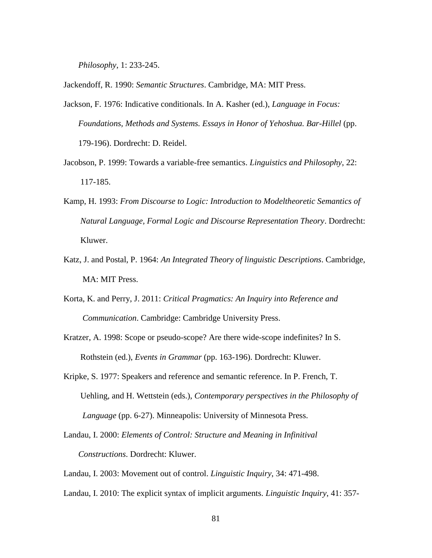*Philosophy*, 1: 233-245.

Jackendoff, R. 1990: *Semantic Structures*. Cambridge, MA: MIT Press.

- Jackson, F. 1976: Indicative conditionals. In A. Kasher (ed.), *Language in Focus: Foundations, Methods and Systems. Essays in Honor of Yehoshua. Bar-Hillel* (pp. 179-196). Dordrecht: D. Reidel.
- Jacobson, P. 1999: Towards a variable-free semantics. *Linguistics and Philosophy*, 22: 117-185.
- Kamp, H. 1993: *From Discourse to Logic: Introduction to Modeltheoretic Semantics of Natural Language, Formal Logic and Discourse Representation Theory*. Dordrecht: Kluwer.
- Katz, J. and Postal, P. 1964: *An Integrated Theory of linguistic Descriptions*. Cambridge, MA: MIT Press.
- Korta, K. and Perry, J. 2011: *Critical Pragmatics: An Inquiry into Reference and Communication*. Cambridge: Cambridge University Press.

Kratzer, A. 1998: Scope or pseudo-scope? Are there wide-scope indefinites? In S. Rothstein (ed.), *Events in Grammar* (pp. 163-196). Dordrecht: Kluwer.

Kripke, S. 1977: Speakers and reference and semantic reference. In P. French, T. Uehling, and H. Wettstein (eds.), *Contemporary perspectives in the Philosophy of Language* (pp. 6-27). Minneapolis: University of Minnesota Press.

Landau, I. 2000: *Elements of Control: Structure and Meaning in Infinitival Constructions*. Dordrecht: Kluwer.

Landau, I. 2003: Movement out of control. *Linguistic Inquiry*, 34: 471-498.

Landau, I. 2010: The explicit syntax of implicit arguments. *Linguistic Inquiry*, 41: 357-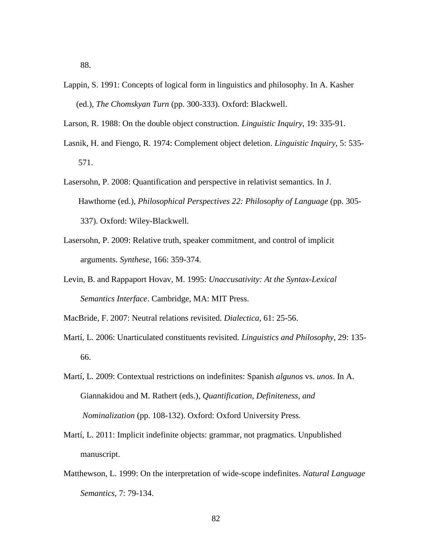- Lappin, S. 1991: Concepts of logical form in linguistics and philosophy. In A. Kasher (ed.), *The Chomskyan Turn* (pp. 300-333). Oxford: Blackwell.
- Larson, R. 1988: On the double object construction. *Linguistic Inquiry*, 19: 335-91.
- Lasnik, H. and Fiengo, R. 1974: Complement object deletion. *Linguistic Inquiry*, 5: 535- 571.
- Lasersohn, P. 2008: Quantification and perspective in relativist semantics. In J. Hawthorne (ed.), *Philosophical Perspectives 22: Philosophy of Language* (pp. 305- 337). Oxford: Wiley-Blackwell.
- Lasersohn, P. 2009: Relative truth, speaker commitment, and control of implicit arguments. *Synthese*, 166: 359-374.
- Levin, B. and Rappaport Hovav, M. 1995: *Unaccusativity: At the Syntax-Lexical Semantics Interface*. Cambridge, MA: MIT Press.

MacBride, F. 2007: Neutral relations revisited. *Dialectica*, 61: 25-56.

- Martí, L. 2006: Unarticulated constituents revisited. *Linguistics and Philosophy*, 29: 135- 66.
- Martí, L. 2009: Contextual restrictions on indefinites: Spanish *algunos* vs. *unos*. In A. Giannakidou and M. Rathert (eds.), *Quantification, Definiteness, and Nominalization* (pp. 108-132). Oxford: Oxford University Press.
- Martí, L. 2011: Implicit indefinite objects: grammar, not pragmatics. Unpublished manuscript.
- Matthewson, L. 1999: On the interpretation of wide-scope indefinites. *Natural Language Semantics*, 7: 79-134.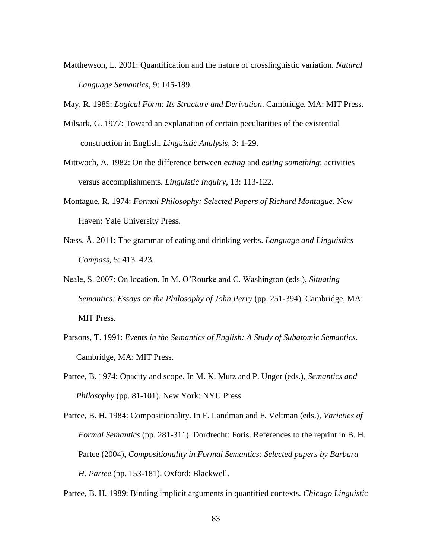Matthewson, L. 2001: Quantification and the nature of crosslinguistic variation. *Natural Language Semantics*, 9: 145-189.

May, R. 1985: *Logical Form: Its Structure and Derivation*. Cambridge, MA: MIT Press.

- Milsark, G. 1977: Toward an explanation of certain peculiarities of the existential construction in English. *Linguistic Analysis*, 3: 1-29.
- Mittwoch, A. 1982: On the difference between *eating* and *eating something*: activities versus accomplishments. *Linguistic Inquiry*, 13: 113-122.
- Montague, R. 1974: *Formal Philosophy: Selected Papers of Richard Montague*. New Haven: Yale University Press.
- Næss, Å. 2011: The grammar of eating and drinking verbs. *Language and Linguistics Compass*, 5: 413–423.
- Neale, S. 2007: On location. In M. O'Rourke and C. Washington (eds.), *Situating Semantics: Essays on the Philosophy of John Perry* (pp. 251-394). Cambridge, MA: MIT Press.
- Parsons, T. 1991: *Events in the Semantics of English: A Study of Subatomic Semantics*. Cambridge, MA: MIT Press.
- Partee, B. 1974: Opacity and scope. In M. K. Mutz and P. Unger (eds.), *Semantics and Philosophy* (pp. 81-101). New York: NYU Press.
- Partee, B. H. 1984: Compositionality. In F. Landman and F. Veltman (eds.), *Varieties of Formal Semantics* (pp. 281-311). Dordrecht: Foris. References to the reprint in B. H. Partee (2004), *Compositionality in Formal Semantics: Selected papers by Barbara H. Partee* (pp. 153-181). Oxford: Blackwell.
- Partee, B. H. 1989: Binding implicit arguments in quantified contexts. *Chicago Linguistic*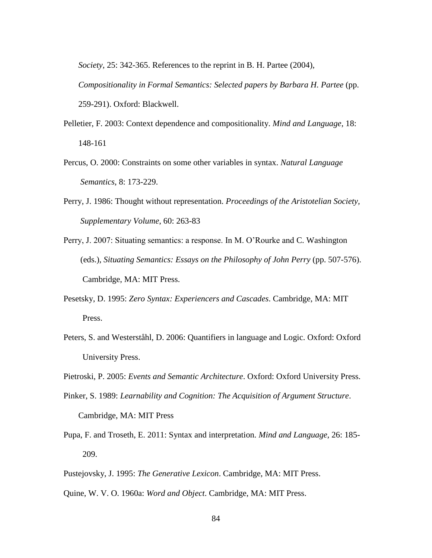*Society*, 25: 342-365. References to the reprint in B. H. Partee (2004),

 *Compositionality in Formal Semantics: Selected papers by Barbara H. Partee* (pp. 259-291). Oxford: Blackwell.

- Pelletier, F. 2003: Context dependence and compositionality. *Mind and Language*, 18: 148-161
- Percus, O. 2000: Constraints on some other variables in syntax. *Natural Language Semantics*, 8: 173-229.
- Perry, J. 1986: Thought without representation. *Proceedings of the Aristotelian Society, Supplementary Volume*, 60: 263-83
- Perry, J. 2007: Situating semantics: a response. In M. O'Rourke and C. Washington (eds.), *Situating Semantics: Essays on the Philosophy of John Perry* (pp. 507-576). Cambridge, MA: MIT Press.
- Pesetsky, D. 1995: *Zero Syntax: Experiencers and Cascades*. Cambridge, MA: MIT Press.
- Peters, S. and Westerståhl, D. 2006: Quantifiers in language and Logic. Oxford: Oxford University Press.
- Pietroski, P. 2005: *Events and Semantic Architecture*. Oxford: Oxford University Press.
- Pinker, S. 1989: *Learnability and Cognition: The Acquisition of Argument Structure*. Cambridge, MA: MIT Press
- Pupa, F. and Troseth, E. 2011: Syntax and interpretation. *Mind and Language*, 26: 185- 209.
- Pustejovsky, J. 1995: *The Generative Lexicon*. Cambridge, MA: MIT Press.
- Quine, W. V. O. 1960a: *Word and Object*. Cambridge, MA: MIT Press.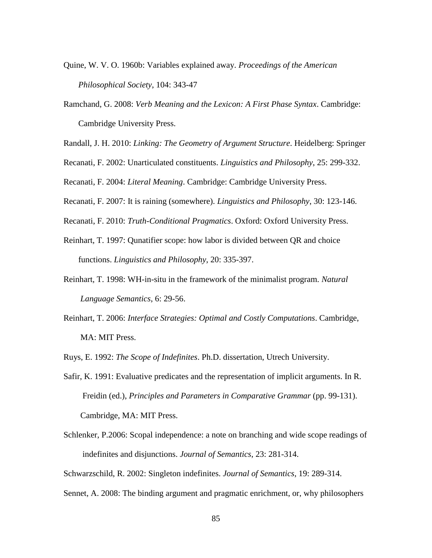Quine, W. V. O. 1960b: Variables explained away. *Proceedings of the American Philosophical Society*, 104: 343-47

- Ramchand, G. 2008: *Verb Meaning and the Lexicon: A First Phase Syntax*. Cambridge: Cambridge University Press.
- Randall, J. H. 2010: *Linking: The Geometry of Argument Structure*. Heidelberg: Springer
- Recanati, F. 2002: Unarticulated constituents. *Linguistics and Philosophy*, 25: 299-332.

Recanati, F. 2004: *Literal Meaning*. Cambridge: Cambridge University Press.

Recanati, F. 2007: It is raining (somewhere). *Linguistics and Philosophy*, 30: 123-146.

- Recanati, F. 2010: *Truth-Conditional Pragmatics*. Oxford: Oxford University Press.
- Reinhart, T. 1997: Qunatifier scope: how labor is divided between QR and choice functions. *Linguistics and Philosophy*, 20: 335-397.
- Reinhart, T. 1998: WH-in-situ in the framework of the minimalist program. *Natural Language Semantics*, 6: 29-56.
- Reinhart, T. 2006: *Interface Strategies: Optimal and Costly Computations*. Cambridge, MA: MIT Press.

Ruys, E. 1992: *The Scope of Indefinites*. Ph.D. dissertation, Utrech University.

- Safir, K. 1991: Evaluative predicates and the representation of implicit arguments. In R. Freidin (ed.), *Principles and Parameters in Comparative Grammar* (pp. 99-131). Cambridge, MA: MIT Press.
- Schlenker, P.2006: Scopal independence: a note on branching and wide scope readings of indefinites and disjunctions. *Journal of Semantics*, 23: 281-314.

Schwarzschild, R. 2002: Singleton indefinites. *Journal of Semantics*, 19: 289-314.

Sennet, A. 2008: The binding argument and pragmatic enrichment, or, why philosophers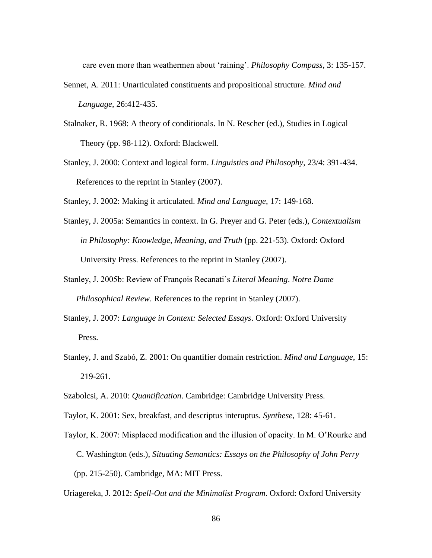care even more than weathermen about 'raining'. *Philosophy Compass*, 3: 135-157.

- Sennet, A. 2011: Unarticulated constituents and propositional structure. *Mind and Language*, 26:412-435.
- Stalnaker, R. 1968: A theory of conditionals. In N. Rescher (ed.), Studies in Logical Theory (pp. 98-112). Oxford: Blackwell.
- Stanley, J. 2000: Context and logical form. *Linguistics and Philosophy*, 23/4: 391-434. References to the reprint in Stanley (2007).
- Stanley, J. 2002: Making it articulated. *Mind and Language*, 17: 149-168.
- Stanley, J. 2005a: Semantics in context. In G. Preyer and G. Peter (eds.), *Contextualism in Philosophy: Knowledge, Meaning, and Truth* (pp. 221-53). Oxford: Oxford University Press. References to the reprint in Stanley (2007).
- Stanley, J. 2005b: Review of François Recanati's *Literal Meaning*. *Notre Dame Philosophical Review*. References to the reprint in Stanley (2007).
- Stanley, J. 2007: *Language in Context: Selected Essays*. Oxford: Oxford University Press.
- Stanley, J. and Szabó, Z. 2001: On quantifier domain restriction. *Mind and Language*, 15: 219-261.
- Szabolcsi, A. 2010: *Quantification*. Cambridge: Cambridge University Press.
- Taylor, K. 2001: Sex, breakfast, and descriptus interuptus. *Synthese*, 128: 45-61.
- Taylor, K. 2007: Misplaced modification and the illusion of opacity. In M. O'Rourke and C. Washington (eds.), *Situating Semantics: Essays on the Philosophy of John Perry* (pp. 215-250). Cambridge, MA: MIT Press.

Uriagereka, J. 2012: *Spell-Out and the Minimalist Program*. Oxford: Oxford University